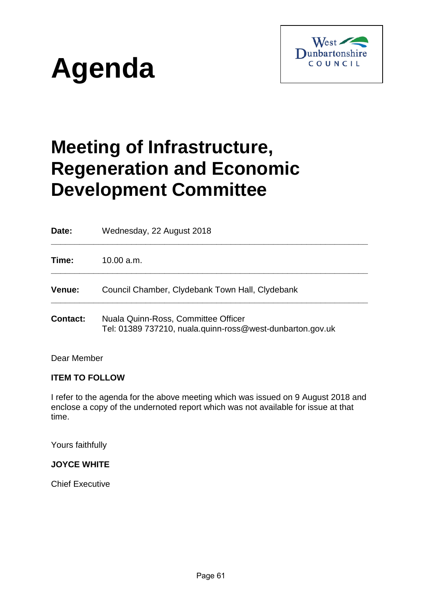



# **Meeting of Infrastructure, Regeneration and Economic Development Committee**

| Date:           | Wednesday, 22 August 2018                                                                        |
|-----------------|--------------------------------------------------------------------------------------------------|
| Time:           | 10.00 a.m.                                                                                       |
| <b>Venue:</b>   | Council Chamber, Clydebank Town Hall, Clydebank                                                  |
| <b>Contact:</b> | Nuala Quinn-Ross, Committee Officer<br>Tel: 01389 737210, nuala.quinn-ross@west-dunbarton.gov.uk |

Dear Member

#### **ITEM TO FOLLOW**

I refer to the agenda for the above meeting which was issued on 9 August 2018 and enclose a copy of the undernoted report which was not available for issue at that time.

Yours faithfully

#### **JOYCE WHITE**

Chief Executive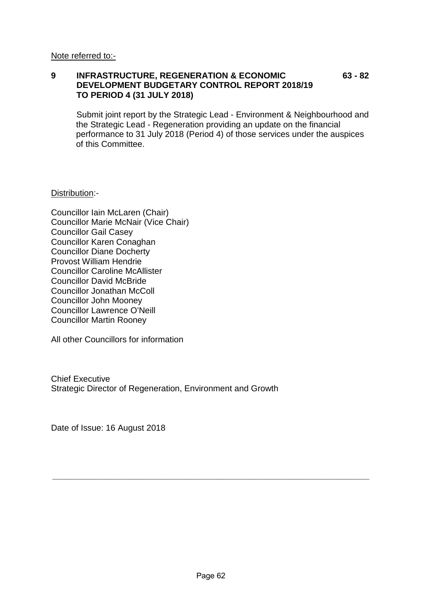#### **9 INFRASTRUCTURE, REGENERATION & ECONOMIC 63 - 82 DEVELOPMENT BUDGETARY CONTROL REPORT 2018/19 TO PERIOD 4 (31 JULY 2018)**

Submit joint report by the Strategic Lead - Environment & Neighbourhood and the Strategic Lead - Regeneration providing an update on the financial performance to 31 July 2018 (Period 4) of those services under the auspices of this Committee.

Distribution:-

Councillor Iain McLaren (Chair) Councillor Marie McNair (Vice Chair) Councillor Gail Casey Councillor Karen Conaghan Councillor Diane Docherty Provost William Hendrie Councillor Caroline McAllister Councillor David McBride Councillor Jonathan McColl Councillor John Mooney Councillor Lawrence O'Neill Councillor Martin Rooney

All other Councillors for information

Chief Executive Strategic Director of Regeneration, Environment and Growth

Date of Issue: 16 August 2018

**\_\_\_\_\_\_\_\_\_\_\_\_\_\_\_\_\_\_\_\_\_\_\_\_\_\_\_\_\_\_\_\_\_\_\_\_\_\_\_\_\_\_\_\_\_\_\_\_\_\_\_\_\_\_\_\_\_\_\_\_\_\_\_\_\_\_\_**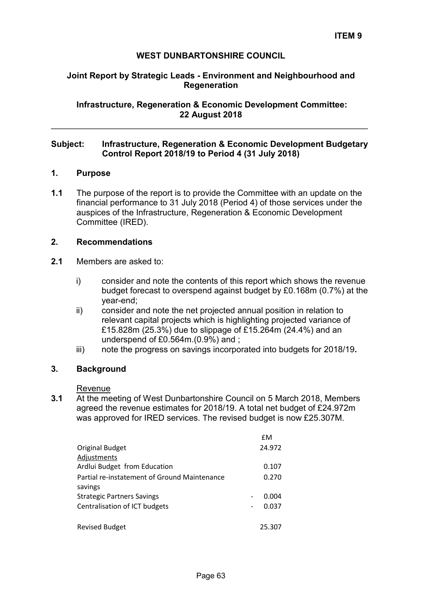#### **WEST DUNBARTONSHIRE COUNCIL**

#### **Joint Report by Strategic Leads - Environment and Neighbourhood and Regeneration**

**Infrastructure, Regeneration & Economic Development Committee: 22 August 2018** 

#### **Subject: Infrastructure, Regeneration & Economic Development Budgetary Control Report 2018/19 to Period 4 (31 July 2018)**

\_\_\_\_\_\_\_\_\_\_\_\_\_\_\_\_\_\_\_\_\_\_\_\_\_\_\_\_\_\_\_\_\_\_\_\_\_\_\_\_\_\_\_\_\_\_\_\_\_\_\_\_\_\_\_\_\_\_\_\_\_\_\_\_\_\_\_

#### **1. Purpose**

**1.1** The purpose of the report is to provide the Committee with an update on the financial performance to 31 July 2018 (Period 4) of those services under the auspices of the Infrastructure, Regeneration & Economic Development Committee (IRED).

#### **2. Recommendations**

- **2.1** Members are asked to:
	- i) consider and note the contents of this report which shows the revenue budget forecast to overspend against budget by £0.168m (0.7%) at the year-end;
	- ii) consider and note the net projected annual position in relation to relevant capital projects which is highlighting projected variance of £15.828m (25.3%) due to slippage of £15.264m (24.4%) and an underspend of £0.564m.(0.9%) and ;
	- iii) note the progress on savings incorporated into budgets for 2018/19**.**

#### **3. Background**

Revenue

**3.1** At the meeting of West Dunbartonshire Council on 5 March 2018, Members agreed the revenue estimates for 2018/19. A total net budget of £24.972m was approved for IRED services. The revised budget is now £25.307M.

|                                              | £M     |
|----------------------------------------------|--------|
| Original Budget                              | 24.972 |
| Adjustments                                  |        |
| Ardlui Budget from Education                 | 0.107  |
| Partial re-instatement of Ground Maintenance | 0.270  |
| savings                                      |        |
| <b>Strategic Partners Savings</b>            | 0.004  |
| Centralisation of ICT budgets                | 0.037  |
|                                              |        |
| <b>Revised Budget</b>                        | 25.307 |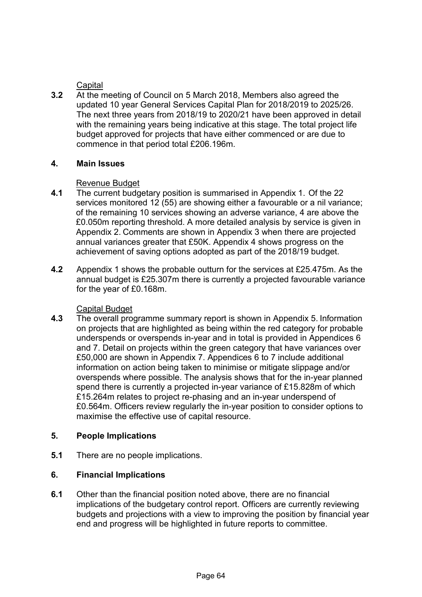# **Capital**

**3.2** At the meeting of Council on 5 March 2018, Members also agreed the updated 10 year General Services Capital Plan for 2018/2019 to 2025/26. The next three years from 2018/19 to 2020/21 have been approved in detail with the remaining years being indicative at this stage. The total project life budget approved for projects that have either commenced or are due to commence in that period total £206.196m.

#### **4. Main Issues**

#### Revenue Budget

- **4.1** The current budgetary position is summarised in Appendix 1. Of the 22 services monitored 12 (55) are showing either a favourable or a nil variance; of the remaining 10 services showing an adverse variance, 4 are above the £0.050m reporting threshold. A more detailed analysis by service is given in Appendix 2. Comments are shown in Appendix 3 when there are projected annual variances greater that £50K. Appendix 4 shows progress on the achievement of saving options adopted as part of the 2018/19 budget.
- **4.2** Appendix 1 shows the probable outturn for the services at £25.475m. As the annual budget is £25.307m there is currently a projected favourable variance for the year of £0.168m.

# Capital Budget

**4.3** The overall programme summary report is shown in Appendix 5. Information on projects that are highlighted as being within the red category for probable underspends or overspends in-year and in total is provided in Appendices 6 and 7. Detail on projects within the green category that have variances over £50,000 are shown in Appendix 7. Appendices 6 to 7 include additional information on action being taken to minimise or mitigate slippage and/or overspends where possible. The analysis shows that for the in-year planned spend there is currently a projected in-year variance of £15.828m of which £15.264m relates to project re-phasing and an in-year underspend of £0.564m. Officers review regularly the in-year position to consider options to maximise the effective use of capital resource.

# **5. People Implications**

**5.1** There are no people implications.

# **6. Financial Implications**

**6.1** Other than the financial position noted above, there are no financial implications of the budgetary control report. Officers are currently reviewing budgets and projections with a view to improving the position by financial year end and progress will be highlighted in future reports to committee.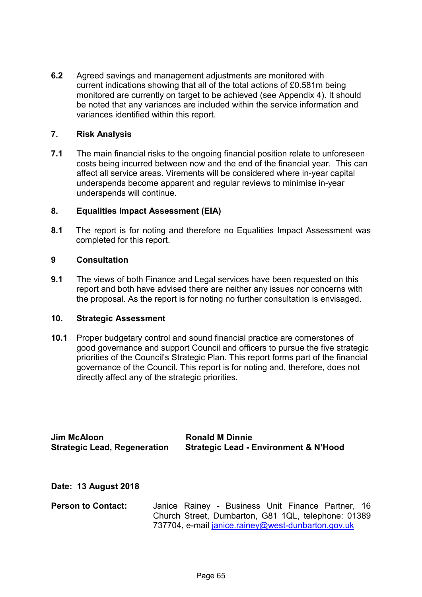**6.2** Agreed savings and management adjustments are monitored with current indications showing that all of the total actions of £0.581m being monitored are currently on target to be achieved (see Appendix 4). It should be noted that any variances are included within the service information and variances identified within this report.

#### **7. Risk Analysis**

**7.1** The main financial risks to the ongoing financial position relate to unforeseen costs being incurred between now and the end of the financial year. This can affect all service areas. Virements will be considered where in-year capital underspends become apparent and regular reviews to minimise in-year underspends will continue.

#### **8. Equalities Impact Assessment (EIA)**

**8.1** The report is for noting and therefore no Equalities Impact Assessment was completed for this report.

#### **9 Consultation**

**9.1** The views of both Finance and Legal services have been requested on this report and both have advised there are neither any issues nor concerns with the proposal. As the report is for noting no further consultation is envisaged.

#### **10. Strategic Assessment**

**10.1** Proper budgetary control and sound financial practice are cornerstones of good governance and support Council and officers to pursue the five strategic priorities of the Council's Strategic Plan. This report forms part of the financial governance of the Council. This report is for noting and, therefore, does not directly affect any of the strategic priorities.

**Jim McAloon** Ronald M Dinnie

**Strategic Lead, Regeneration Strategic Lead - Environment & N'Hood** 

**Date: 13 August 2018** 

**Person to Contact:** Janice Rainey - Business Unit Finance Partner, 16 Church Street, Dumbarton, G81 1QL, telephone: 01389 737704, e-mail [janice.rainey@west-dunbarton.gov.uk](mailto:janice.rainey@west-dunbarton.gov.uk)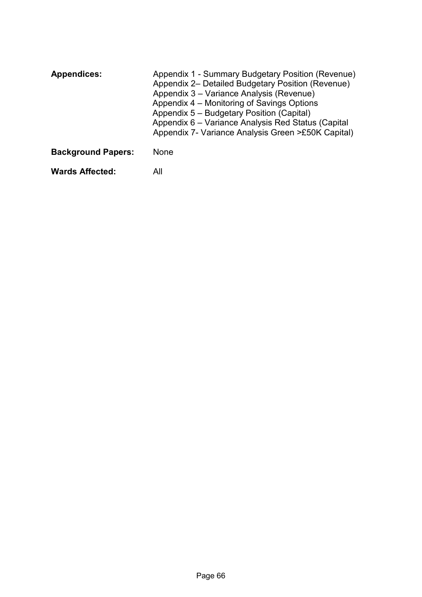| <b>Appendices:</b>        | Appendix 1 - Summary Budgetary Position (Revenue)<br>Appendix 2– Detailed Budgetary Position (Revenue)<br>Appendix 3 – Variance Analysis (Revenue)<br>Appendix 4 – Monitoring of Savings Options<br>Appendix 5 - Budgetary Position (Capital)<br>Appendix 6 - Variance Analysis Red Status (Capital<br>Appendix 7- Variance Analysis Green >£50K Capital) |
|---------------------------|-----------------------------------------------------------------------------------------------------------------------------------------------------------------------------------------------------------------------------------------------------------------------------------------------------------------------------------------------------------|
| <b>Background Papers:</b> | <b>None</b>                                                                                                                                                                                                                                                                                                                                               |
| <b>Wards Affected:</b>    | All                                                                                                                                                                                                                                                                                                                                                       |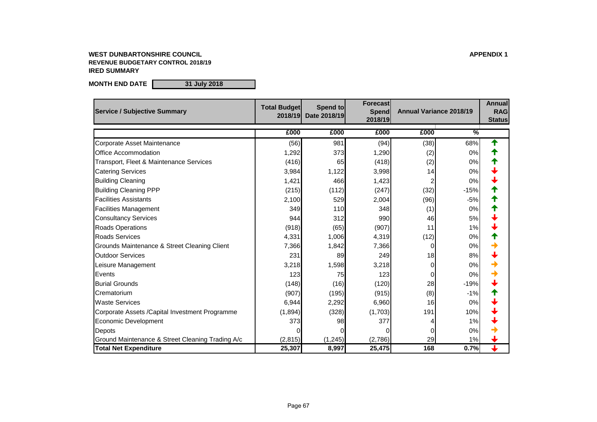# **WEST DUNBARTONSHIRE COUNCIL APPENDIX 1 REVENUE BUDGETARY CONTROL 2018/19 IRED SUMMARY**

**MONTH END DATE 31 July 2018**

| <b>Service / Subjective Summary</b>                | <b>Total Budget</b><br>2018/19 | Spend to<br>Date 2018/19 | Forecast<br><b>Spend</b><br>2018/19 | <b>Annual Variance 2018/19</b> |               | <b>Annual</b><br><b>RAG</b><br><b>Status</b> |
|----------------------------------------------------|--------------------------------|--------------------------|-------------------------------------|--------------------------------|---------------|----------------------------------------------|
|                                                    | £000                           | £000                     | £000                                | £000                           | $\frac{0}{2}$ |                                              |
| <b>Corporate Asset Maintenance</b>                 | (56)                           | 981                      | (94)                                | (38)                           | 68%           | ↑                                            |
| <b>Office Accommodation</b>                        | 1,292                          | 373                      | 1,290                               | (2)                            | 0%            |                                              |
| <b>Transport, Fleet &amp; Maintenance Services</b> | (416)                          | 65                       | (418)                               | (2)                            | 0%            |                                              |
| <b>Catering Services</b>                           | 3,984                          | 1,122                    | 3,998                               | 14                             | $0\%$         |                                              |
| <b>Building Cleaning</b>                           | 1,421                          | 466                      | 1,423                               |                                | 0%            |                                              |
| <b>Building Cleaning PPP</b>                       | (215)                          | (112)                    | (247)                               | (32)                           | $-15%$        |                                              |
| <b>Facilities Assistants</b>                       | 2,100                          | 529                      | 2,004                               | (96)                           | $-5%$         |                                              |
| <b>Facilities Management</b>                       | 349                            | 110                      | 348                                 | (1)                            | 0%            |                                              |
| <b>Consultancy Services</b>                        | 944                            | 312                      | 990                                 | 46                             | 5%            |                                              |
| <b>Roads Operations</b>                            | (918)                          | (65)                     | (907)                               | 11                             | 1%            |                                              |
| <b>Roads Services</b>                              | 4,331                          | 1,006                    | 4,319                               | (12)                           | 0%            |                                              |
| Grounds Maintenance & Street Cleaning Client       | 7,366                          | 1,842                    | 7,366                               | 0                              | 0%            |                                              |
| <b>Outdoor Services</b>                            | 231                            | 89                       | 249                                 | 18                             | 8%            |                                              |
| Leisure Management                                 | 3,218                          | 1,598                    | 3,218                               | 0                              | 0%            |                                              |
| Events                                             | 123                            | 75                       | 123                                 | 0                              | 0%            |                                              |
| <b>Burial Grounds</b>                              | (148)                          | (16)                     | (120)                               | 28                             | $-19%$        |                                              |
| Crematorium                                        | (907)                          | (195)                    | (915)                               | (8)                            | $-1%$         |                                              |
| <b>Waste Services</b>                              | 6,944                          | 2,292                    | 6,960                               | 16                             | 0%            |                                              |
| Corporate Assets / Capital Investment Programme    | (1,894)                        | (328)                    | (1,703)                             | 191                            | 10%           |                                              |
| <b>Economic Development</b>                        | 373                            | 98                       | 377                                 |                                | 1%            |                                              |
| Depots                                             |                                |                          |                                     |                                | 0%            |                                              |
| Ground Maintenance & Street Cleaning Trading A/c   | (2,815)                        | (1, 245)                 | (2,786)                             | 29                             | 1%            |                                              |
| <b>Total Net Expenditure</b>                       | 25,307                         | 8,997                    | 25,475                              | 168                            | 0.7%          | ↓                                            |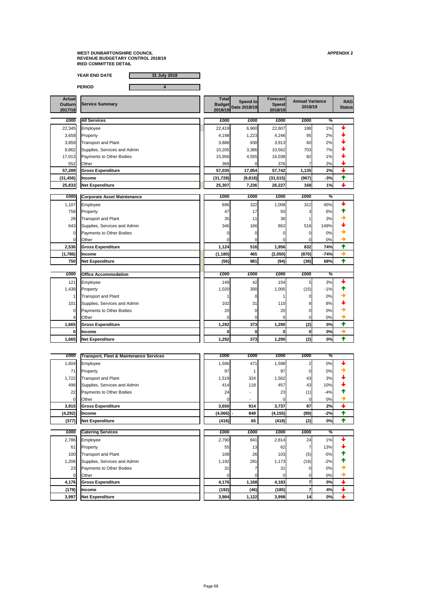**YEAR END DATE 31 July 2018**

**PERIOD 4**

| <b>Actual</b><br><b>Outturn</b><br>2017/18 | <b>Service Summary</b>             | <b>Total</b><br><b>Budget</b><br>2018/19 | <b>Spend to</b><br>Date 2018/19 | Forecast<br><b>Spend</b><br>2018/19 |                | <b>Annual Variance</b><br>2018/19 |               |
|--------------------------------------------|------------------------------------|------------------------------------------|---------------------------------|-------------------------------------|----------------|-----------------------------------|---------------|
| £000                                       | <b>All Services</b>                | £000                                     | £000                            | £000                                | £000           | $\frac{9}{6}$                     |               |
| 22,345                                     | Employee                           | 22,419                                   | 6,960                           | 22,607                              | 188            | 1%                                |               |
| 3,658                                      | Property                           | 4,198                                    | 1,223                           | 4,246                               | 95             | 2%                                |               |
| 3,859                                      | <b>Transport and Plant</b>         | 3,888                                    | 930                             | 3,913                               | 60             | 2%                                |               |
| 9,862                                      | Supplies, Services and Admin       | 10,205                                   | 3,386                           | 10,562                              | 703            | 7%                                |               |
| 17,013                                     | <b>Payments to Other Bodies</b>    | 15,956                                   | 4,555                           | 16,038                              | 82             | 1%                                |               |
| 552                                        | Other                              | 369                                      |                                 | 376                                 |                | 2%                                | ↓             |
| 57,289                                     | <b>Gross Expenditure</b>           | 57,035                                   | 17,054                          | 57,742                              | 1,135          | 2%                                | $\downarrow$  |
| (31, 456)                                  | <b>Income</b>                      | (31, 728)                                | (9,818)                         | (31, 515)                           | (967)          | $-3%$                             | 个             |
| 25,833                                     | <b>Net Expenditure</b>             | 25,307                                   | 7,236                           | 26,227                              | 168            | 1%                                | $\downarrow$  |
|                                            |                                    |                                          |                                 |                                     |                |                                   |               |
| £000                                       | <b>Corporate Asset Maintenance</b> | £000                                     | £000                            | £000                                | £000           | $\%$                              |               |
| 1,107                                      | Employee                           | 696                                      | 322                             | 1,008                               | 312            | 45%                               |               |
| 758                                        | Property                           | 47                                       | 17                              | 50                                  |                | 6%                                |               |
| 28                                         | <b>Transport and Plant</b>         | 35                                       | 11                              | 36                                  |                | 3%                                |               |
| 643                                        | Supplies, Services and Admin       | 346                                      | 166                             | 862                                 | 516            | 149%                              |               |
| 0                                          | <b>Payments to Other Bodies</b>    |                                          |                                 |                                     | $\Omega$       | 0%                                | →             |
| $\overline{0}$                             | <b>Other</b>                       |                                          |                                 |                                     | 0              | 0%                                | $\rightarrow$ |
| 2,536                                      | <b>Gross Expenditure</b>           | 1,124                                    | 516                             | 1,956                               | 832            | 74%                               | 个             |
|                                            | $(1,786)$   Income                 | (1, 180)                                 | 465                             | (2,050)                             | (870)          | $-74%$                            | $\rightarrow$ |
| <b>750</b>                                 | <b>Net Expenditure</b>             | (56)                                     | 981                             | (94)                                | (38)           | 68%                               | ₳             |
|                                            |                                    |                                          |                                 |                                     |                |                                   |               |
| £000                                       | <b>Office Accommodation</b>        | £000                                     | £000                            | £000                                | £000           | ℅                                 |               |
| 121                                        | Employee                           | 149                                      | 42                              | 154                                 | 5 <sup>5</sup> | 3%                                |               |
| 1,438                                      | Property                           | 1,020                                    | 300                             | 1,005                               | (15)           | $-1%$                             |               |
|                                            | <b>Transport and Plant</b>         |                                          |                                 |                                     | $\Omega$       | 0%                                |               |
| 101                                        | Supplies, Services and Admin       | 102                                      | 31                              | 110                                 | 8              | 8%                                |               |
| $\overline{0}$                             | Payments to Other Bodies           | 20                                       |                                 | 20                                  | 0              | 0%                                |               |
| 4                                          | <b>Other</b>                       |                                          | 0                               | $\overline{0}$                      | 0              | 0%                                |               |
|                                            | 1.665 Gross Expenditure            | 1.292                                    | 373                             | 1.290                               | (2)            | 0%                                |               |

| וטטוי | <b>INING LANGINIUS</b>      | ▎▗▙Ӛ▙▏ | VI VI | 1,4JVI | 14 J I | $\mathbf{v}$ / $\mathbf{v}$ |  |
|-------|-----------------------------|--------|-------|--------|--------|-----------------------------|--|
|       | <b>Income</b>               |        |       |        | OI     | 0%                          |  |
| ,665  | <b>Expenditure</b><br>Net E | 1,292  | 373   | 1,290  | (2)    | 0%                          |  |

| £000           | <b>Transport, Fleet &amp; Maintenance Services</b> | £000        | £000                     | £000     | £000 | $\frac{1}{2}$ |  |
|----------------|----------------------------------------------------|-------------|--------------------------|----------|------|---------------|--|
| 1,604          | <b>Employee</b>                                    | 1,596       | 471                      | 1,598    | ◠    | 0%            |  |
| 71             | Property                                           | 97          |                          | 97       | 0l   | 0%            |  |
| 1,722          | <b>Transport and Plant</b>                         | 1,519       | 324                      | ,562     | 43   | 3%            |  |
| 496            | Supplies, Services and Admin                       | 414         | 118                      | 457      | 43   | 10%           |  |
| 22             | Payments to Other Bodies                           | 24          | $\overline{\phantom{0}}$ | 23       | (1)  | $-4%$         |  |
| $\overline{0}$ | <b>Other</b>                                       |             | $\blacksquare$           |          | 01   | 0%            |  |
| 3,915          | <b>Gross Expenditure</b>                           | 3,650       | 914                      | 3,737    | 87   | 2%            |  |
| (4, 292)       | <b>Income</b>                                      | $(4,066)$ - | 849                      | (4, 155) | (89) | $-2%$         |  |
| (377)          | <b>Net Expenditure</b>                             | (416)       | 65                       | (418)    | (2)  | 0%            |  |

| £000  | <b>Catering Services</b>        | £000  | £000  | £000  | £000            | $\frac{1}{2}$ |  |
|-------|---------------------------------|-------|-------|-------|-----------------|---------------|--|
| 2,786 | Employee                        | 2,790 | 841   | 2,814 | 24              | 1%            |  |
| 61    | Property                        | 55    | 13    | 62    |                 | 13%           |  |
| 100   | <b>Transport and Plant</b>      | 108   | 26    | 103   | (5)             | $-5%$         |  |
| .206  | Supplies, Services and Admin    | 1,192 | 281   | ,173  | (19)            | $-2%$         |  |
| 23    | <b>Payments to Other Bodies</b> | 31    |       | 31    |                 | 0%            |  |
| Οl    | <b>Other</b>                    |       |       |       |                 | 0%            |  |
| 4,176 | <b>Gross Expenditure</b>        | 4,176 | 1,168 | 4,183 |                 | 0%            |  |
| (179) | <b>Income</b>                   | (192) | (46)  | (185) |                 | 4%            |  |
| 3,997 | <b>Net Expenditure</b>          | 3,984 | 1,122 | 3,998 | 14 <sub>1</sub> | 0%            |  |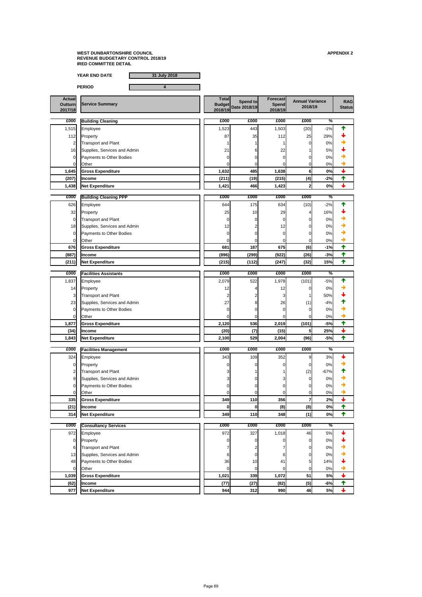**YEAR END DATE 31 July 2018**

**PERIOD 4**

| 626   | Employee                        | 644   | 175   | 634       | (10) | $-2%$ |  |
|-------|---------------------------------|-------|-------|-----------|------|-------|--|
| 32    | Property                        | 25    | 10    | <b>29</b> | 4    | 16%   |  |
| ΟI    | <b>Transport and Plant</b>      |       |       |           | 01   | 0%    |  |
| 18    | Supplies, Services and Admin    | 12    |       | 12        | Οl   | 0%    |  |
| ΟI    | <b>Payments to Other Bodies</b> |       |       |           | Οl   | 0%    |  |
|       | <b>Other</b>                    |       |       |           | ΩI   | 0%    |  |
| 676   | <b>Gross Expenditure</b>        | 681   | 187   | 675       | (6)  | $-1%$ |  |
| (887) | <b>Income</b>                   | (896) | (299) | (922)     | (26) | $-3%$ |  |
| (211) | <b>Net Expenditure</b>          | (215) | (112) | (247)     | (32) | 15%   |  |

**Actual Outturn 2017/18 Total Budget 2018/19 Spend to** Service Summary<br> **Date 2018/19 Show Budget**<br>
2018/19
2018/19
2018/19
2018/19
2018/19
2018 **Forecast Spend 2018/19 RAG**<br>**Status 2018/19 £000 £000 £000 £000 £000 % Building Cleaning** 1,515 Employee 1,523 443 1,503 (20) -1% 112 Property 29% and the set of the state of  $\begin{vmatrix} 1 & 87 \\ 8 & 35 \end{vmatrix}$  35 112 25 29%  $\begin{vmatrix} 25 & 29 \\ 25 & 23 \end{vmatrix}$ 2 Transport and Plant  $\begin{array}{|c|c|c|c|c|c|c|c|c|} \hline \end{array}$  1 1 1 1 0 0%  $\begin{array}{|c|c|c|c|c|}\hline \end{array}$ 16 Supplies, Services and Admin 21 21 6 22 1 5%  $\left| \begin{matrix} 1 & 21 & 6 \end{matrix} \right|$ <sup>0</sup> Payments to Other Bodies <sup>0</sup> <sup>0</sup> <sup>0</sup> <sup>0</sup> 0%  $\begin{array}{|c|c|c|c|c|c|}\hline \text{Other} & \text{one} & \text{one} & \text{one} & \text{one} & \text{one} & \text{one} & \text{one} & \text{one} & \text{one} & \text{one} & \text{one} & \text{one} & \text{one} & \text{one} & \text{one} & \text{one} & \text{one} & \text{one} & \text{one} & \text{one} & \text{one} & \text{one} & \text{one} & \text{one} & \text{one} & \text{one} & \text{one} & \text{one} & \text{one} & \text{one} & \text{one} & \text{one} & \$ **1,645 Gross Expenditure 1,632 485 1,638 6 0% (207) Income (211) (19) (215) (4) -2% 1,438 Net Expenditure 1,421 466 1,423 2 0% £000 £000 £000 £000 £000 % Building Cleaning PPP**

| £000           | <b>Facilities Assistants</b>    | £000  | £000       | £000  | £000  | $\%$  |  |
|----------------|---------------------------------|-------|------------|-------|-------|-------|--|
| ,837           | <b>Employee</b>                 | 2,079 | 522        | 1,978 | (101) | $-5%$ |  |
| 14             | Property                        | 12    |            | 12    |       | $0\%$ |  |
| $\overline{3}$ | <b>Transport and Plant</b>      |       |            |       |       | 50%   |  |
| 23             | Supplies, Services and Admin    | 27    |            | 26    | (1)   | $-4%$ |  |
| $\overline{0}$ | <b>Payments to Other Bodies</b> |       |            |       |       | 0%    |  |
| 01             | <b>Other</b>                    |       |            |       |       | $0\%$ |  |
| 1,877          | <b>Gross Expenditure</b>        | 2,120 | <b>536</b> | 2,019 | (101) | $-5%$ |  |

| (34)   | <b>Income</b>                           | (20)  |     | (15)  |      | 25%   |  |
|--------|-----------------------------------------|-------|-----|-------|------|-------|--|
| ا343.، | <b>Expenditure</b><br>. .<br><b>Net</b> | 2,100 | 529 | 2,004 | (96) | $-5%$ |  |

| £000           | <b>Facilities Management</b>    | £000 | £000 | £000       | £000 | $\overline{\%}$ |  |
|----------------|---------------------------------|------|------|------------|------|-----------------|--|
| 324            | Employee                        | 343  | 109  | 352        |      | 3%              |  |
|                | Property                        |      |      |            |      | 0%              |  |
| $\overline{2}$ | <b>Transport and Plant</b>      |      |      |            | (2)  | $-67%$          |  |
|                | Supplies, Services and Admin    |      |      |            |      | 0%              |  |
| 01             | <b>Payments to Other Bodies</b> |      |      |            |      | 0%              |  |
|                | <b>Other</b>                    |      |      |            |      | 0%              |  |
| 335            | <b>Gross Expenditure</b>        | 349  | 110  | <b>356</b> |      | 2%              |  |
| (21)           | <b>Income</b>                   |      |      | (8)        | (8)  | 0%              |  |
| 314            | Net Expenditure                 | 349  | 110  | 348        | (1)  | 0%              |  |

| £000             | <b>Consultancy Services</b>     | £000  | £000       | £000  | £000 | $\frac{9}{6}$ |  |
|------------------|---------------------------------|-------|------------|-------|------|---------------|--|
| 972              | Employee                        | 972   | 327        | 1,018 | 46   | 5%            |  |
| $\overline{0}$   | <b>Property</b>                 |       |            | 01    | 01   | 0%            |  |
| $6 \blacksquare$ | <b>Transport and Plant</b>      |       |            |       | 01   | 0%            |  |
| 13               | Supplies, Services and Admin    | 61    |            | 61    | 01   | 0%            |  |
| 48               | <b>Payments to Other Bodies</b> | 36    | 10         | 41    | 51   | 14%           |  |
| $\overline{0}$   | <b>Other</b>                    | DГ    |            | ΩI    | 01   | 0%            |  |
| 1,039            | <b>Gross Expenditure</b>        | 1,021 | <b>339</b> | 1,072 | 51   | 5%            |  |
| (62)             | <b>Income</b>                   | (77)  | (27)       | (82)  | (5)  | $-6%$         |  |
| 977              | Net Expenditure                 | 944   | 312        | 990   | 46   | 5%            |  |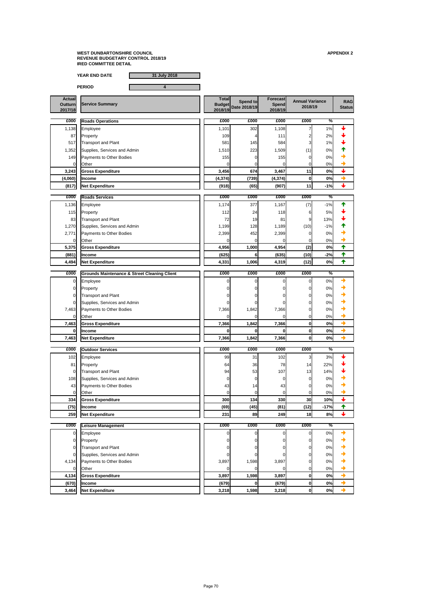**YEAR END DATE 31 July 2018**

**PERIOD 4**

| <b>Actual</b><br><b>Outturn</b><br>2017/18 | <b>Total</b><br><b>Service Summary</b><br><b>Budget</b><br>2018/19  |          | Spend to<br>Date 2018/19 | <b>Forecast</b><br>Spend<br>2018/19 | <b>Annual Variance</b><br>2018/19 |       | <b>RAG</b><br><b>Status</b> |
|--------------------------------------------|---------------------------------------------------------------------|----------|--------------------------|-------------------------------------|-----------------------------------|-------|-----------------------------|
| £000                                       | <b>Roads Operations</b>                                             | £000     | £000                     | £000                                | £000                              | %     |                             |
| 1,138                                      | Employee                                                            | 1,101    | 302                      | 1,108                               |                                   | 1%    |                             |
| 87                                         | Property                                                            | 109      |                          | 111                                 |                                   | 2%    |                             |
| 517                                        | <b>Transport and Plant</b>                                          | 581      | 145                      | 584                                 |                                   | 1%    |                             |
| 1,352                                      | Supplies, Services and Admin                                        | 1,510    | 223                      | 1,509                               | (1)                               | 0%    |                             |
| 149                                        | Payments to Other Bodies                                            | 155      |                          | 155                                 |                                   | 0%    |                             |
| $\Omega$                                   | Other                                                               |          |                          |                                     |                                   | 0%    |                             |
| 3,243                                      | <b>Gross Expenditure</b>                                            | 3,456    | 674                      | 3,467                               | 11                                | 0%    | $\overline{\phantom{a}}$    |
| (4,060)                                    | <b>Income</b>                                                       | (4, 374) | (739)                    | (4, 374)                            | 0                                 | 0%    | →                           |
| (817)                                      | Net Expenditure                                                     | (918)    | (65)                     | (907)                               | 11                                | $-1%$ |                             |
|                                            |                                                                     |          |                          |                                     |                                   |       |                             |
| £000                                       | <b>Roads Services</b>                                               | £000     | £000                     | £000                                | £000                              | $\%$  |                             |
| 1,136                                      | Employee                                                            | 1,174    | 377                      | 1,167                               | (7)                               | $-1%$ |                             |
| 115                                        | Property                                                            | 112      | 24                       | 118                                 |                                   | 5%    |                             |
| 83                                         | <b>Transport and Plant</b>                                          | 72       | 19                       | 81                                  | 9                                 | 13%   |                             |
| 1,270                                      | Supplies, Services and Admin                                        | 1,199    | 128                      | 1,189                               | (10)                              | $-1%$ |                             |
| 2,771                                      | Payments to Other Bodies                                            | 2,399    | 452                      | 2,399                               |                                   | 0%    |                             |
| 0                                          | Other                                                               |          | $\Omega$                 |                                     |                                   | 0%    | →                           |
| 5,375                                      | <b>Gross Expenditure</b>                                            | 4,956    | 1,000                    | 4,954                               | (2)                               | 0%    | ↟                           |
| (881)                                      | <b>Income</b>                                                       | (625)    | <b>61</b>                | (635)                               | (10)                              | $-2%$ | T                           |
| 4,494                                      | <b>Net Expenditure</b>                                              | 4,331    | 1,006                    | 4,319                               | (12)                              | 0%    | 个                           |
| £000                                       |                                                                     | £000     | £000                     | £000                                | £000                              | %     |                             |
| $\mathbf 0$                                | <b>Grounds Maintenance &amp; Street Cleaning Client</b><br>Employee |          |                          | 0I                                  |                                   | 0%    |                             |

| £000           | <b>S</b> Grounds Maintenance & Street Cleaning Client | £000  | <b>£000</b> | <b>£000</b> | £000           | $\%$          |               |
|----------------|-------------------------------------------------------|-------|-------------|-------------|----------------|---------------|---------------|
| $\overline{O}$ | Employee                                              |       |             |             | 01             | 0%            |               |
| $\overline{O}$ | Property                                              |       |             |             | 01             | 0%            |               |
| $\overline{O}$ | <b>Transport and Plant</b>                            |       |             |             | 01             | 0%            | ◆             |
| $\overline{O}$ | Supplies, Services and Admin                          |       |             |             | 0              | 0%            | D             |
| 7,463          | Payments to Other Bodies                              | 7,366 | 1,842       | 7,366       | 01             | 0%            | D             |
| $\overline{0}$ | <b>Other</b>                                          |       |             |             | $\overline{0}$ | 0%            |               |
| 7,463          | <b>Gross Expenditure</b>                              | 7,366 | 1,842       | 7,366       | 0              | 0%            | ◆             |
| 0              | <b>Income</b>                                         |       |             |             | 0              | 0%            |               |
| 7,463          | <b>Net Expenditure</b>                                | 7,366 | 1,842       | 7,366       | 0              | 0%            | $\rightarrow$ |
|                |                                                       |       |             |             |                |               |               |
| £000           | <b>Outdoor Services</b>                               | £000  | £000        | £000        | £000           | $\frac{0}{6}$ |               |
| 102            | Employee                                              | 99    | 31          | 102         |                | 3%            |               |
| 81             | Property                                              | 64    | 36          | 78          | 14             | 22%           |               |
| $\overline{O}$ | <b>Transport and Plant</b>                            | 94    | 53          | 107         | 13             | 14%           |               |
| 108            | Supplies, Services and Admin                          |       |             |             | $\Omega$       | 0%            |               |
| 43             | Payments to Other Bodies                              | 43    | 14          | 43          |                | $0\%$         |               |
| $\overline{O}$ | Other                                                 |       |             |             | 01             | 0%            |               |

**334 Gross Expenditure** ★ **300 134 330 30 30 30 40%** ★

**(75) Income (69) (45) (81) (12) -17% 259 Net Expenditure 231 89 249 18 8%**

 Employee 0 0 0 0 0% Property 0 0 0 0 0% Transport and Plant 0 0 0 0 0% Supplies, Services and Admin 0 0 0 0 0%

4,134 Payments to Other Bodies 3,897 1,598 3,897 0 0%

**£000 £000 £000 £000 £000 % Leisure Management**

0 Other 0 0 0 0 0%

**4,134 Gross Expenditure 3,897 1,598 3,897 0 0%**

**(670) Income (679) 0 (679) 0 0%**

**3,464 Net Expenditure 3,218 1,598 3,218 0 0%**

| O<br>∽<br>r.<br>. . |  |
|---------------------|--|
|---------------------|--|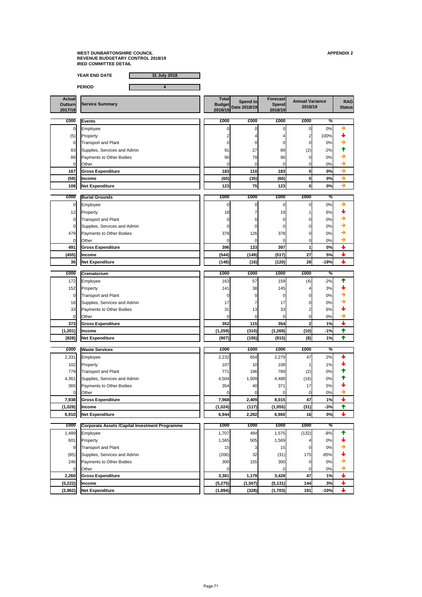**YEAR END DATE 31 July 2018**

**PERIOD 4**

**Actual Outturn 2017/18 Total Budget 2018/19 Spend to** Service Summary<br> **Date 2018/19 Show Budget**<br>
2018/19
2018/19
2018/19
2018/19
2018/19
2018 **Forecast Spend 2018/19 RAG 2018/19 £000 £000 £000 £000 £000 %** 0 Employee 0 0 0 0 0% (5) Property  $\begin{array}{|c|c|c|c|c|c|c|c|c|}\hline \end{array}$  Property  $\begin{array}{|c|c|c|c|c|c|c|c|}\hline \end{array}$   $\begin{array}{|c|c|c|c|c|c|}\hline 2 & 4 & 4 & 2 & 100\% \hline \end{array}$ 0 Transport and Plant 0 0 0 0 0% 83 Supplies, Services and Admin 27 31 27 39 (2)  $\left| \begin{matrix} 1 & 91 & 27 \\ 8 & 27 & 89 \end{matrix} \right|$  42%  $\left| \begin{matrix} 2 & 28 \\ 1 & 27 \end{matrix} \right|$ <sup>89</sup> Payments to Other Bodies <sup>90</sup> <sup>79</sup> <sup>90</sup> <sup>0</sup> 0%  $\begin{array}{|c|c|c|c|c|c|}\hline \text{Other} & \text{one} & \text{one} & \text{one} & \text{one} & \text{one} & \text{one} & \text{one} & \text{one} & \text{one} & \text{one} & \text{one} & \text{one} & \text{one} & \text{one} & \text{one} & \text{one} & \text{one} & \text{one} & \text{one} & \text{one} & \text{one} & \text{one} & \text{one} & \text{one} & \text{one} & \text{one} & \text{one} & \text{one} & \text{one} & \text{one} & \text{one} & \text{one} & \$ **167 Gross Expenditure 110** 183 0 ● <del>◆</del> **(59) Income (60) (35) (60) 0 0% 108 Net Expenditure 123 75 123 0 0% £000 £000 £000 £000 £000 % Burial Grounds** 0 Employee 0 0 0 0 0% <sup>12</sup> Property <sup>18</sup> <sup>7</sup> <sup>19</sup> <sup>1</sup> 6% 0 Transport and Plant → Contrast Contrast Contrast Contrast Contrast Contrast Contrast Contrast Contrast Contra <sup>0</sup> Supplies, Services and Admin <sup>0</sup> <sup>0</sup> <sup>0</sup> <sup>0</sup> 0% 479 Payments to Other Bodies  $\begin{array}{ccc} | & 378 & 126 & 378 \end{array}$  126 378 0 0 0% 0 Other 0 0 0 0 0% **491 Gross Expenditure 396 133 397 1 0% (455) Income (544) (149) (517) 27 5% 36 Net Expenditure (148) (16) (120) 28 -19% £000 £000 £000 £000 £000 % Crematorium Events**

| <b>LUUU</b>    | <b>ICrematorium</b>                                    | <b>LUUU</b> | <b>LUUU</b> | <b>ZUUU</b> | <b>LUUU</b>  | 70            |                          |
|----------------|--------------------------------------------------------|-------------|-------------|-------------|--------------|---------------|--------------------------|
| 172            | Employee                                               | 163         | 57          | 159         | (4)          | $-2%$         |                          |
| 152            | Property                                               | 141         | 38          | 145         |              | 3%            |                          |
| $\overline{0}$ | <b>Transport and Plant</b>                             |             |             |             |              | $0\%$         |                          |
| 16             | Supplies, Services and Admin                           | 17          |             | 17          |              | 0%            |                          |
| 33             | Payments to Other Bodies                               | 31          | 13          | 33          |              | $6\%$         |                          |
| $\overline{0}$ | <b>Other</b>                                           |             |             |             |              | 0%            |                          |
| 373            | <b>Gross Expenditure</b>                               | 352         | 115         | 354         | $\mathbf{2}$ | 1%            | $\color{red} \downarrow$ |
| (1, 201)       | Income                                                 | (1, 259)    | (310)       | (1, 269)    | (10)         | $-1%$         | $\blacklozenge$          |
| (828)          | <b>Net Expenditure</b>                                 | (907)       | (195)       | (915)       | (8)          | 1%            | ✦                        |
| £000           | <b>Waste Services</b>                                  | £000        | £000        | £000        | £000         | $\frac{1}{2}$ |                          |
| 2,331          | Employee                                               | 2,232       | 654         | 2,279       | 47           | 2%            |                          |
| 102            | Property                                               | 107         | 10          | 108         |              | 1%            |                          |
| 779            | <b>Transport and Plant</b>                             | 771         | 196         | 769         | (2)          | 0%            |                          |
| 4,361          | Supplies, Services and Admin                           | 4,504       | 1,509       | 4,488       | (16)         | $0\%$         |                          |
| 365            | <b>Payments to Other Bodies</b>                        | 354         | 40          | 371         | 17           | $5%$          |                          |
| $\overline{0}$ | <b>Other</b>                                           |             |             |             |              | 0%            | ◆                        |
| 7,938          | <b>Gross Expenditure</b>                               | 7,968       | 2,409       | 8,015       | 47           | 1%            | $\overline{\mathbf{t}}$  |
| (1,028)        | Income                                                 | (1,024)     | (117)       | (1,055)     | (31)         | $-3%$         | ✦                        |
| 6,910          | <b>Net Expenditure</b>                                 | 6,944       | 2,292       | 6,960       | 16           | 0%            | $\color{red} \downarrow$ |
| £000           | <b>Corporate Assets / Capital Investment Programme</b> | £000        | £000        | £000        | £000         | ℅             |                          |
| 1,489          | Employee                                               | 1,707       | 484         | 1,575       | (132)        | $-8%$         | ↑                        |
| 601            | Property                                               | 1,565       | 505         | 1,569       |              | 0%            |                          |
| $\overline{9}$ | <b>Transport and Plant</b>                             | 15          |             | 15          |              | $0\%$         |                          |
| (85)           | Supplies, Services and Admin                           | (206)       | 32          | (31)        | 175          | $-85%$        |                          |
| 246            | Payments to Other Bodies                               | 300         | 155         | 300         |              | 0%            |                          |
| $\overline{0}$ | <b>Other</b>                                           |             |             | 0           |              | 0%            | ✦                        |
| 2,260          | <b>Gross Expenditure</b>                               | 3,381       | 1,179       | 3,428       | 47           | 1%            | $\ddag$                  |
| (5, 222)       | Income                                                 | (5, 275)    | (1,507)     | (5, 131)    | 144          | 3%            | $\ddag$                  |
| (2,962)        | <b>Net Expenditure</b>                                 | (1,894)     | (328)       | (1,703)     | 191          | $-10%$        | $\ddag$                  |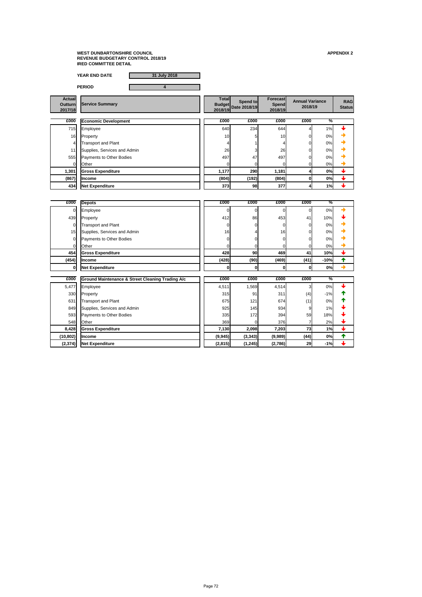**YEAR END DATE 31 July 2018**

**PERIOD 4**

| <b>Actual</b><br><b>Outturn</b><br>2017/18 | <b>Service Summary</b>          | <b>Total</b><br>2018/19 | Spend to<br><b>Budget</b> Date 2018/19 | <b>Forecast</b><br>Spend<br>2018/19 | <b>Annual Variance</b><br>2018/19 |               | <b>RAG</b><br><b>Status</b> |
|--------------------------------------------|---------------------------------|-------------------------|----------------------------------------|-------------------------------------|-----------------------------------|---------------|-----------------------------|
| £000                                       | <b>Economic Development</b>     | £000                    | £000                                   | £000                                | £000                              | $\frac{1}{2}$ |                             |
| 715                                        | Employee                        | 640                     | 234                                    | 644                                 |                                   | 1%            |                             |
| 16                                         | Property                        | 10                      |                                        | 10                                  | ΩI                                | 0%            |                             |
| 4                                          | <b>Transport and Plant</b>      |                         |                                        |                                     | 01                                | 0%            |                             |
| 11                                         | Supplies, Services and Admin    | 26                      |                                        | 26                                  | ΩI                                | 0%            |                             |
| 555                                        | <b>Payments to Other Bodies</b> | 497                     | 47                                     | 497                                 |                                   | 0%            |                             |
| $\Omega$                                   | Other                           |                         |                                        |                                     | 01                                | 0%            |                             |
| 1,301                                      | <b>Gross Expenditure</b>        | 1,177                   | 290                                    | 1,181                               |                                   | 0%            |                             |
| (867)                                      | <b>I</b> Income                 | (804)                   | (192)                                  | (804)                               |                                   | 0%            |                             |
| 434                                        | <b>Net Expenditure</b>          | 373                     | 98                                     | 377                                 |                                   | 1%            |                             |

| £000  | <b>Depots</b>                   | £000  | £000 | £000  | £000 | $\frac{1}{2}$ |  |
|-------|---------------------------------|-------|------|-------|------|---------------|--|
| 01    | Employee                        |       |      |       |      | 0%            |  |
| 439   | Property                        | 412   | 86   | 453   | 41   | 10%           |  |
| 01    | <b>Transport and Plant</b>      |       |      |       | 0    | 0%            |  |
| 15    | Supplies, Services and Admin    | 16    |      | 16    | 0    | 0%            |  |
| 01    | <b>Payments to Other Bodies</b> |       |      |       | 0    | 0%            |  |
|       | Other                           |       |      |       |      | 0%            |  |
| 454   | <b>Gross Expenditure</b>        | 428   | 90   | 469   | 41   | 10%           |  |
| (454) | <b>Income</b>                   | (428) | (90) | (469) | (41) | $-10%$        |  |
|       | Net Expenditure                 |       |      | 0     | 0    | 0%            |  |
|       |                                 |       |      |       |      |               |  |

| £000      | <b>Ground Maintenance &amp; Street Cleaning Trading A/c</b> | £000     | £000     | £000    | £000 | $\frac{1}{2}$ |  |
|-----------|-------------------------------------------------------------|----------|----------|---------|------|---------------|--|
| 5,477     | Employee                                                    | 4,511    | 1,569    | 4,514   | 3    | 0%            |  |
| 330       | Property                                                    | 315      | 91       | 311     | (4)  | $-1%$         |  |
| 631       | <b>Transport and Plant</b>                                  | 675      | 121      | 674     | (1)  | 0%            |  |
| 849       | Supplies, Services and Admin                                | 925      | 145      | 934     | 9    | $1\%$         |  |
| 593       | <b>Payments to Other Bodies</b>                             | 335      | 172      | 394     | 59   | 18%           |  |
| 548       | <b>Other</b>                                                | 369      |          | 376     |      | 2%            |  |
| 8,428     | <b>Gross Expenditure</b>                                    | 7,130    | 2,098    | 7,203   | 73   | 1%            |  |
| (10, 802) | <b>Income</b>                                               | (9, 945) | (3, 343) | (9,989) | (44) | 0%            |  |
| (2, 374)  | <b>Net Expenditure</b>                                      | (2,815)  | (1, 245) | (2,786) | 29   | $-1%$         |  |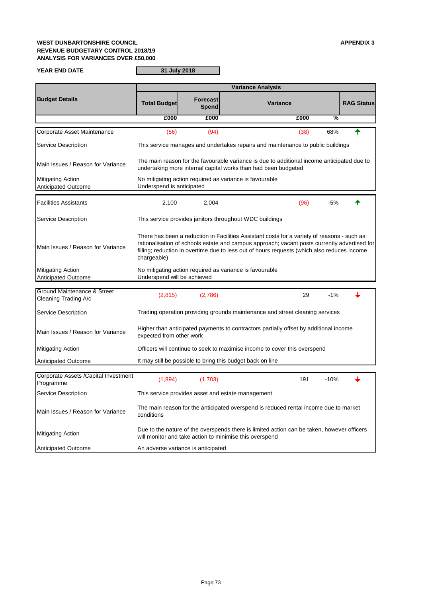# **WEST DUNBARTONSHIRE COUNCIL APPENDIX 3 REVENUE BUDGETARY CONTROL 2018/19 ANALYSIS FOR VARIANCES OVER £50,000**

**YEAR END DATE**

| <b>Tivilligatifig Action</b> | will monitor and take action to minimise this overspend |
|------------------------------|---------------------------------------------------------|
| Anticipated Outcome          | An adverse variance is anticipated                      |

|                                                                | <b>Variance Analysis</b>    |                          |                                                                                                                                                                                                                                                                                             |      |        |                   |  |  |  |  |
|----------------------------------------------------------------|-----------------------------|--------------------------|---------------------------------------------------------------------------------------------------------------------------------------------------------------------------------------------------------------------------------------------------------------------------------------------|------|--------|-------------------|--|--|--|--|
| <b>Budget Details</b>                                          | <b>Total Budget</b>         | Forecast<br><b>Spend</b> | <b>Variance</b>                                                                                                                                                                                                                                                                             |      |        | <b>RAG Status</b> |  |  |  |  |
|                                                                | £000                        | £000                     |                                                                                                                                                                                                                                                                                             | £000 | %      |                   |  |  |  |  |
| Corporate Asset Maintenance                                    | (56)                        | (94)                     |                                                                                                                                                                                                                                                                                             | (38) | 68%    |                   |  |  |  |  |
| <b>Service Description</b>                                     |                             |                          | This service manages and undertakes repairs and maintenance to public buildings                                                                                                                                                                                                             |      |        |                   |  |  |  |  |
| Main Issues / Reason for Variance                              |                             |                          | The main reason for the favourable variance is due to additional income anticipated due to<br>undertaking more internal capital works than had been budgeted                                                                                                                                |      |        |                   |  |  |  |  |
| <b>Mitigating Action</b><br><b>Anticipated Outcome</b>         | Underspend is anticipated   |                          | No mitigating action required as variance is favourable                                                                                                                                                                                                                                     |      |        |                   |  |  |  |  |
| <b>Facilities Assistants</b>                                   | 2,100                       | 2,004                    |                                                                                                                                                                                                                                                                                             | (96) | $-5%$  |                   |  |  |  |  |
| <b>Service Description</b>                                     |                             |                          | This service provides janitors throughout WDC buildings                                                                                                                                                                                                                                     |      |        |                   |  |  |  |  |
| Main Issues / Reason for Variance                              | chargeable)                 |                          | There has been a reduction in Facilities Assistant costs for a variety of reasons - such as:<br>rationalisation of schools estate and campus approach; vacant posts currently advertised for<br>filling; reduction in overtime due to less out of hours requests (which also reduces income |      |        |                   |  |  |  |  |
| <b>Mitigating Action</b><br><b>Anticipated Outcome</b>         | Underspend will be achieved |                          | No mitigating action required as variance is favourable                                                                                                                                                                                                                                     |      |        |                   |  |  |  |  |
| <b>Ground Maintenance &amp; Street</b><br>Cleaning Trading A/c | (2,815)                     | (2,786)                  |                                                                                                                                                                                                                                                                                             | 29   | $-1\%$ |                   |  |  |  |  |
| <b>Service Description</b>                                     |                             |                          | Trading operation providing grounds maintenance and street cleaning services                                                                                                                                                                                                                |      |        |                   |  |  |  |  |
| Main Issues / Reason for Variance                              | expected from other work    |                          | Higher than anticipated payments to contractors partially offset by additional income                                                                                                                                                                                                       |      |        |                   |  |  |  |  |
| <b>Mitigating Action</b>                                       |                             |                          | Officers will continue to seek to maximise income to cover this overspend                                                                                                                                                                                                                   |      |        |                   |  |  |  |  |
| <b>Anticipated Outcome</b>                                     |                             |                          | It may still be possible to bring this budget back on line                                                                                                                                                                                                                                  |      |        |                   |  |  |  |  |
| Corporate Assets / Capital Investment<br>Programme             | (1,894)                     | (1,703)                  |                                                                                                                                                                                                                                                                                             | 191  | $-10%$ |                   |  |  |  |  |
| <b>Service Description</b>                                     |                             |                          | This service provides asset and estate management                                                                                                                                                                                                                                           |      |        |                   |  |  |  |  |
| Main Issues / Reason for Variance                              | conditions                  |                          | The main reason for the anticipated overspend is reduced rental income due to market                                                                                                                                                                                                        |      |        |                   |  |  |  |  |
| Mitianting Action                                              |                             |                          | Due to the nature of the overspends there is limited action can be taken, however officers                                                                                                                                                                                                  |      |        |                   |  |  |  |  |

**31 July 2018**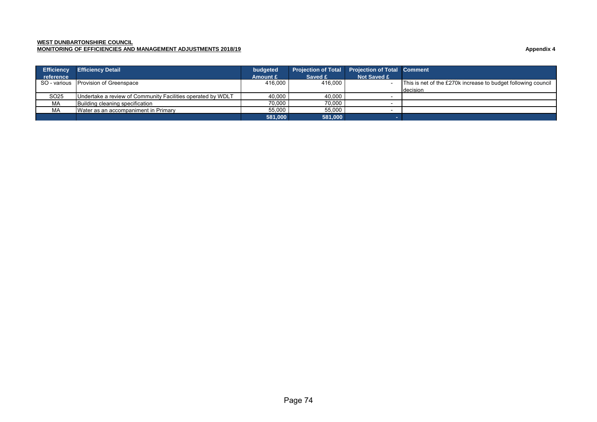#### **WEST DUNBARTONSHIRE COUNCIL**

**MONITORING OF EFFICIENCIES AND MANAGEMENT ADJUSTMENTS 2018/19 Appendix 4** 

| <b>Efficiency</b> | <b>Efficiency Detail</b>                                    | budgeted | <b>Projection of Total</b> | <b>Projection of Total Comment</b> |                                                               |
|-------------------|-------------------------------------------------------------|----------|----------------------------|------------------------------------|---------------------------------------------------------------|
| reference         |                                                             | Amount £ | Saved £                    | Not Saved £                        |                                                               |
|                   | SO - various Provision of Greenspace                        | 416.000  | 416.000                    |                                    | This is net of the £270k increase to budget following council |
|                   |                                                             |          |                            |                                    | decision                                                      |
| SO <sub>25</sub>  | Undertake a review of Community Facilities operated by WDLT | 40.000   | 40.000                     |                                    |                                                               |
| МA                | Building cleaning specification                             | 70.000   | 70.000                     |                                    |                                                               |
| МA                | Water as an accompaniment in Primary                        | 55.000   | 55.000                     |                                    |                                                               |
|                   |                                                             | 581.000  | 581.000                    |                                    |                                                               |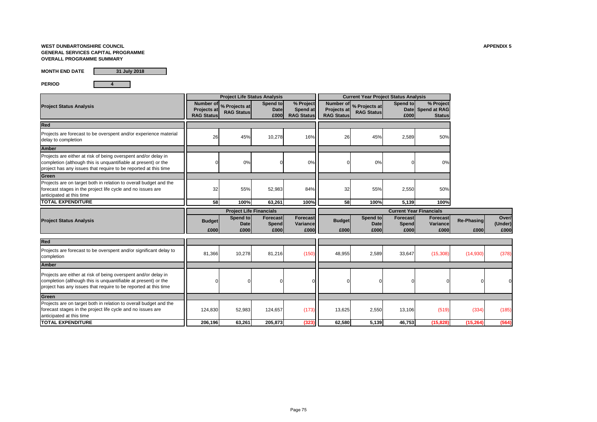# **WEST DUNBARTONSHIRE COUNCIL APPENDIX 5 GENERAL SERVICES CAPITAL PROGRAMME OVERALL PROGRAMME SUMMARY**

**MONTH END DATE**

**PERIOD 4**

|                                                                                                                                                                                                     | <b>Project Life Status Analysis</b>           |                                    |                                  | <b>Current Year Project Status Analysis</b> |                                  |                                              |                                  |                                                 |                           |                          |
|-----------------------------------------------------------------------------------------------------------------------------------------------------------------------------------------------------|-----------------------------------------------|------------------------------------|----------------------------------|---------------------------------------------|----------------------------------|----------------------------------------------|----------------------------------|-------------------------------------------------|---------------------------|--------------------------|
| <b>Project Status Analysis</b>                                                                                                                                                                      | Number of<br>Projects at<br><b>RAG Status</b> | % Projects at<br><b>RAG Status</b> | Spend to<br>Date<br>E000         | % Project<br>Spend at<br><b>RAG Status</b>  | Projects at<br><b>RAG Status</b> | Number of % Projects at<br><b>RAG Status</b> | Spend to<br>£000                 | % Project<br>Date Spend at RAG<br><b>Status</b> |                           |                          |
| <b>Red</b>                                                                                                                                                                                          |                                               |                                    |                                  |                                             |                                  |                                              |                                  |                                                 |                           |                          |
| Projects are forecast to be overspent and/or experience material<br>delay to completion                                                                                                             | 26                                            | 45%                                | 10,278                           | 16%                                         | 26                               | 45%                                          | 2,589                            | 50%                                             |                           |                          |
| <b>Amber</b>                                                                                                                                                                                        |                                               |                                    |                                  |                                             |                                  |                                              |                                  |                                                 |                           |                          |
| Projects are either at risk of being overspent and/or delay in<br>completion (although this is unquantifiable at present) or the<br>project has any issues that require to be reported at this time |                                               | $0\%$                              |                                  | 0%                                          |                                  | 0%                                           |                                  | 0%                                              |                           |                          |
| Green                                                                                                                                                                                               |                                               |                                    |                                  |                                             |                                  |                                              |                                  |                                                 |                           |                          |
| Projects are on target both in relation to overall budget and the<br>forecast stages in the project life cycle and no issues are<br>anticipated at this time                                        | 32                                            | 55%                                | 52,983                           | 84%                                         | 32                               | 55%                                          | 2,550                            | 50%                                             |                           |                          |
| <b>TOTAL EXPENDITURE</b>                                                                                                                                                                            | 58                                            | 100%                               | 63,261                           | 100%                                        | 58                               | 100%                                         | 5,139                            | 100%                                            |                           |                          |
|                                                                                                                                                                                                     |                                               | <b>Project Life Financials</b>     |                                  |                                             |                                  |                                              |                                  | <b>Current Year Financials</b>                  |                           |                          |
| <b>Project Status Analysis</b>                                                                                                                                                                      | <b>Budget</b><br>£000                         | Spend to<br>Date<br>£000           | <b>Forecast</b><br>Spend<br>£000 | <b>Forecast</b><br>Variance<br>£000         | <b>Budget</b><br>£000            | Spend to<br>Date<br>£000                     | <b>Forecast</b><br>Spend<br>£000 | <b>Forecast</b><br>Variance<br>£000             | <b>Re-Phasing</b><br>£000 | Over/<br>(Under)<br>£000 |
|                                                                                                                                                                                                     |                                               |                                    |                                  |                                             |                                  |                                              |                                  |                                                 |                           |                          |
| Red                                                                                                                                                                                                 |                                               |                                    |                                  |                                             |                                  |                                              |                                  |                                                 |                           |                          |
| Projects are forecast to be overspent and/or significant delay to<br>completion                                                                                                                     | 81,366                                        | 10,278                             | 81,216                           | (150)                                       | 48,955                           | 2,589                                        | 33,647                           | (15,308)                                        | (14,930)                  | (378)                    |
| <b>Amber</b>                                                                                                                                                                                        |                                               |                                    |                                  |                                             |                                  |                                              |                                  |                                                 |                           |                          |
| Projects are either at risk of being overspent and/or delay in<br>completion (although this is unquantifiable at present) or the<br>project has any issues that require to be reported at this time |                                               | $\overline{0}$                     |                                  |                                             |                                  |                                              |                                  |                                                 |                           |                          |
| Green                                                                                                                                                                                               |                                               |                                    |                                  |                                             |                                  |                                              |                                  |                                                 |                           |                          |
| Projects are on target both in relation to overall budget and the<br>forecast stages in the project life cycle and no issues are<br>anticipated at this time                                        | 124,830                                       | 52,983                             | 124,657                          | (173)                                       | 13,625                           | 2,550                                        | 13,106                           | (519)                                           | (334)                     | (185)                    |
| <b>TOTAL EXPENDITURE</b>                                                                                                                                                                            | 206,196                                       | 63,261                             | 205,873                          | (323)                                       | 62,580                           | 5,139                                        | 46,753                           | (15, 828)                                       | (15, 264)                 | (564)                    |

**31 July 2018**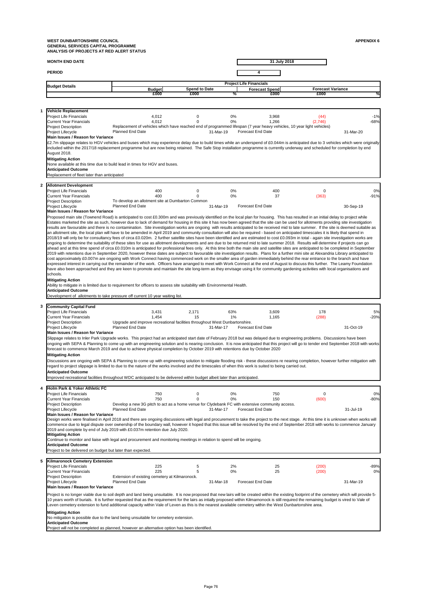**MONTH END DATE**

**1**

**2**

**31 July 2018**

| <b>PERIOD</b>                               |                                                                                                                                                                                                                                                                                                                                                                      |                      |                                |                          |                          |           |
|---------------------------------------------|----------------------------------------------------------------------------------------------------------------------------------------------------------------------------------------------------------------------------------------------------------------------------------------------------------------------------------------------------------------------|----------------------|--------------------------------|--------------------------|--------------------------|-----------|
|                                             |                                                                                                                                                                                                                                                                                                                                                                      |                      | <b>Project Life Financials</b> |                          |                          |           |
| <b>Budget Details</b>                       | <b>Budget</b>                                                                                                                                                                                                                                                                                                                                                        | <b>Spend to Date</b> |                                | <b>Forecast Spend</b>    | <b>Forecast Variance</b> |           |
|                                             | £000                                                                                                                                                                                                                                                                                                                                                                 | £000                 | ℅                              | £000                     | £000                     | %         |
|                                             |                                                                                                                                                                                                                                                                                                                                                                      |                      |                                |                          |                          |           |
| <b>Vehicle Replacement</b>                  |                                                                                                                                                                                                                                                                                                                                                                      |                      |                                |                          |                          |           |
| <b>Project Life Financials</b>              | 4,012                                                                                                                                                                                                                                                                                                                                                                | 0                    | $0\%$                          | 3,968                    | (44)                     | $-1%$     |
| <b>Current Year Financials</b>              | 4,012                                                                                                                                                                                                                                                                                                                                                                |                      | 0%                             | 1,266                    | (2,746)                  | $-68%$    |
| <b>Project Description</b>                  | Replacement of vehicles which have reached end of programmed lifespan (7 year heavy vehicles, 10 year light vehicles)                                                                                                                                                                                                                                                |                      |                                |                          |                          |           |
| <b>Project Lifecycle</b>                    | <b>Planned End Date</b>                                                                                                                                                                                                                                                                                                                                              | 31-Mar-19            |                                | <b>Forecast End Date</b> |                          | 31-Mar-20 |
| Main Issues / Reason for Variance           |                                                                                                                                                                                                                                                                                                                                                                      |                      |                                |                          |                          |           |
|                                             | £2.7m slippage relates to HGV vehicles and buses which may experience delay due to build times while an underspend of £0.044m is anticipated due to 3 vehicles which were originally<br>included within the 2017/18 replacement programme but are now being retained. The Safe Stop installation programme is currently underway and scheduled for completion by end |                      |                                |                          |                          |           |
| August 2018.                                |                                                                                                                                                                                                                                                                                                                                                                      |                      |                                |                          |                          |           |
| <b>Mitigating Action</b>                    |                                                                                                                                                                                                                                                                                                                                                                      |                      |                                |                          |                          |           |
|                                             | None available at this time due to build lead in times for HGV and buses.                                                                                                                                                                                                                                                                                            |                      |                                |                          |                          |           |
| <b>Anticipated Outcome</b>                  |                                                                                                                                                                                                                                                                                                                                                                      |                      |                                |                          |                          |           |
| Replacement of fleet later than anticipated |                                                                                                                                                                                                                                                                                                                                                                      |                      |                                |                          |                          |           |
|                                             |                                                                                                                                                                                                                                                                                                                                                                      |                      |                                |                          |                          |           |
| <b>Allotment Development</b>                |                                                                                                                                                                                                                                                                                                                                                                      |                      |                                |                          |                          |           |
| <b>Project Life Financials</b>              | 400                                                                                                                                                                                                                                                                                                                                                                  | 0                    | $0\%$                          | 400                      | 0                        | 0%        |
| <b>Current Year Financials</b>              | 400                                                                                                                                                                                                                                                                                                                                                                  | ∩                    | 0%                             | 37                       | (363)                    | $-91%$    |
| <b>Project Description</b>                  | To develop an allotment site at Dumbarton Common                                                                                                                                                                                                                                                                                                                     |                      |                                |                          |                          |           |
| <b>Project Lifecycle</b>                    | <b>Planned End Date</b>                                                                                                                                                                                                                                                                                                                                              | 31-Mar-19            |                                | <b>Forecast End Date</b> |                          | 30-Sep-19 |
| Main Issues / Reason for Variance           |                                                                                                                                                                                                                                                                                                                                                                      |                      |                                |                          |                          |           |
|                                             | Proposed main site (Townend Road) is anticipated to cost £0.300m and was previously identified on the local plan for housing. This has resulted in an initial delay to project while                                                                                                                                                                                 |                      |                                |                          |                          |           |
|                                             | and the state of the state of the state of the state of the state of the state of the state of the state of th                                                                                                                                                                                                                                                       |                      |                                |                          |                          |           |

Estates marketed the site as such, however due to lack of demand for housing in this site it has now been agreed that the site can be used for allotments providing site investigation results are favourable and there is no contamination. Site investigation works are ongoing with results anticipated to be received mid to late summer. If the site is deemed suitable as an allotment site, the local plan will have to be amended in April 2019 and community consultation will also be required - based on anticipated timescales it is likely that spend in 2018/19 will only be for consultancy fees of circa £0.020m. 2 further satellite sites have been identified and are estimated to cost £0.093m in total - again site investigation works are ongoing to determine the suitability of these sites for use as allotment developments and are due to be returned mid to late summer 2018. Results will determine if projects can go ahead and at this time spend of circa £0.010m is anticipated for professional fees only. At this time both the main site and satellite sites are anticipated to be completed in September 2019 with retentions due in September 2020, however these dates are subject to favourable site investigation results. Plans for a further mini site at Alexandria Library anticipated to cost approximately £0.007m are ongoing with Work Connect having commenced work on the smaller area of garden immediately behind the rear entrance to the branch and have expressed interest in carrying out the remainder of the work. Officers have arranged to meet with Work Connect at the end of August to discuss this further. The Leamy Foundation have also been approached and they are keen to promote and maintain the site long-term as they envisage using it for community gardening activities with local organisations and schools.

|                         | <b>Community Capital Fund</b>                                                                                                                                                                                                                                                                                                                                                                                                                                                                         |                                                                             |       |             |           |                          |                                                                                                 |          |           |        |
|-------------------------|-------------------------------------------------------------------------------------------------------------------------------------------------------------------------------------------------------------------------------------------------------------------------------------------------------------------------------------------------------------------------------------------------------------------------------------------------------------------------------------------------------|-----------------------------------------------------------------------------|-------|-------------|-----------|--------------------------|-------------------------------------------------------------------------------------------------|----------|-----------|--------|
|                         | <b>Project Life Financials</b>                                                                                                                                                                                                                                                                                                                                                                                                                                                                        |                                                                             | 3,431 | 2,171       | 63%       |                          | 3,609                                                                                           | 178      |           | 5%     |
|                         | <b>Current Year Financials</b>                                                                                                                                                                                                                                                                                                                                                                                                                                                                        |                                                                             | 1,454 | 15          | 1%        |                          | 1,165                                                                                           | (288)    |           | $-20%$ |
|                         | <b>Project Description</b>                                                                                                                                                                                                                                                                                                                                                                                                                                                                            | Upgrade and improve recreational facilities throughout West Dunbartonshire. |       |             |           |                          |                                                                                                 |          |           |        |
|                         | Project Lifecycle                                                                                                                                                                                                                                                                                                                                                                                                                                                                                     | <b>Planned End Date</b>                                                     |       |             | 31-Mar-17 | <b>Forecast End Date</b> |                                                                                                 |          | 31-Oct-19 |        |
|                         | Main Issues / Reason for Variance                                                                                                                                                                                                                                                                                                                                                                                                                                                                     |                                                                             |       |             |           |                          |                                                                                                 |          |           |        |
|                         | Slippage relates to Inler Park Upgrade works. This project had an anticipated start date of February 2018 but was delayed due to engineering problems. Discussions have been<br>ongoing with SEPA & Planning to come up with an engineering solution and is nearing conclusion. It is now anticipated that this project will go to tender end September 2018 with works<br>forecast to commence March 2019 and due to achieve physical completion by October 2019 with retentions due by October 2020 |                                                                             |       |             |           |                          |                                                                                                 |          |           |        |
|                         | <b>Mitigating Action</b>                                                                                                                                                                                                                                                                                                                                                                                                                                                                              |                                                                             |       |             |           |                          |                                                                                                 |          |           |        |
|                         | Discussions are ongoing with SEPA & Planning to come up with engineering solution to mitigate flooding risk - these discussions re nearing completion, however further mitigation with                                                                                                                                                                                                                                                                                                                |                                                                             |       |             |           |                          |                                                                                                 |          |           |        |
|                         | regard to project slippage is limited to due to the nature of the works involved and the timescales of when this work is suited to being carried out.                                                                                                                                                                                                                                                                                                                                                 |                                                                             |       |             |           |                          |                                                                                                 |          |           |        |
|                         | <b>Anticipated Outcome</b>                                                                                                                                                                                                                                                                                                                                                                                                                                                                            |                                                                             |       |             |           |                          |                                                                                                 |          |           |        |
|                         | Improved recreational facilities throughout WDC anticipated to be delivered within budget albeit later than anticipated.                                                                                                                                                                                                                                                                                                                                                                              |                                                                             |       |             |           |                          |                                                                                                 |          |           |        |
|                         |                                                                                                                                                                                                                                                                                                                                                                                                                                                                                                       |                                                                             |       |             |           |                          |                                                                                                 |          |           |        |
| $\overline{\mathbf{4}}$ | Holm Park & Yoker Athletic FC                                                                                                                                                                                                                                                                                                                                                                                                                                                                         |                                                                             |       |             |           |                          |                                                                                                 |          |           |        |
|                         | <b>Project Life Financials</b>                                                                                                                                                                                                                                                                                                                                                                                                                                                                        |                                                                             | 750   | $\mathbf 0$ | 0%        |                          | 750                                                                                             | $\Omega$ |           | 0%     |
|                         | <b>Current Year Financials</b>                                                                                                                                                                                                                                                                                                                                                                                                                                                                        |                                                                             | 750   |             | 0%        |                          | 150                                                                                             | (600)    |           | $-80%$ |
|                         | <b>Project Description</b>                                                                                                                                                                                                                                                                                                                                                                                                                                                                            |                                                                             |       |             |           |                          | Develop a new 3G pitch to act as a home venue for Clydebank FC with extensive community access. |          |           |        |
|                         | Project Lifecycle                                                                                                                                                                                                                                                                                                                                                                                                                                                                                     | <b>Planned End Date</b>                                                     |       |             | 31-Mar-17 | <b>Forecast End Date</b> |                                                                                                 |          | 31-Jul-19 |        |
|                         | <b>Main Issues / Reason for Variance</b>                                                                                                                                                                                                                                                                                                                                                                                                                                                              |                                                                             |       |             |           |                          |                                                                                                 |          |           |        |
|                         | Design works were finalised in April 2018 and there are ongoing discussions with legal and procurement to take the project to the next stage. At this time it is unknown when works will                                                                                                                                                                                                                                                                                                              |                                                                             |       |             |           |                          |                                                                                                 |          |           |        |
|                         | commence due to legal dispute over ownership of the boundary wall, however it hoped that this issue will be resolved by the end of September 2018 with works to commence January                                                                                                                                                                                                                                                                                                                      |                                                                             |       |             |           |                          |                                                                                                 |          |           |        |
|                         | 2019 and complete by end of July 2019 with £0.037m retention due July 2020.                                                                                                                                                                                                                                                                                                                                                                                                                           |                                                                             |       |             |           |                          |                                                                                                 |          |           |        |
|                         | <b>Mitigating Action</b>                                                                                                                                                                                                                                                                                                                                                                                                                                                                              |                                                                             |       |             |           |                          |                                                                                                 |          |           |        |
|                         | Continue to monitor and liaise with legal and procurement and monitoring meetings in relation to spend will be ongoing.                                                                                                                                                                                                                                                                                                                                                                               |                                                                             |       |             |           |                          |                                                                                                 |          |           |        |
|                         | <b>Anticipated Outcome</b>                                                                                                                                                                                                                                                                                                                                                                                                                                                                            |                                                                             |       |             |           |                          |                                                                                                 |          |           |        |
|                         | Project to be delivered on budget but later than expected.                                                                                                                                                                                                                                                                                                                                                                                                                                            |                                                                             |       |             |           |                          |                                                                                                 |          |           |        |
| 5                       | <b>Kilmaronock Cemetery Extension</b>                                                                                                                                                                                                                                                                                                                                                                                                                                                                 |                                                                             |       |             |           |                          |                                                                                                 |          |           |        |
|                         | <b>Project Life Financials</b>                                                                                                                                                                                                                                                                                                                                                                                                                                                                        |                                                                             | 225   | 5           | 2%        |                          | 25                                                                                              | (200)    |           | $-89%$ |
|                         | <b>Current Year Financials</b>                                                                                                                                                                                                                                                                                                                                                                                                                                                                        |                                                                             | 225   | 5           | $0\%$     |                          | 25                                                                                              | (200)    |           | 0%     |
|                         | <b>Project Description</b>                                                                                                                                                                                                                                                                                                                                                                                                                                                                            | Extension of existing cemetery at Kilmaronock.                              |       |             |           |                          |                                                                                                 |          |           |        |
|                         | <b>Project Lifecycle</b>                                                                                                                                                                                                                                                                                                                                                                                                                                                                              | <b>Planned End Date</b>                                                     |       |             | 31-Mar-18 | <b>Forecast End Date</b> |                                                                                                 |          | 31-Mar-19 |        |
|                         | Main Issues / Reason for Variance                                                                                                                                                                                                                                                                                                                                                                                                                                                                     |                                                                             |       |             |           |                          |                                                                                                 |          |           |        |
|                         |                                                                                                                                                                                                                                                                                                                                                                                                                                                                                                       |                                                                             |       |             |           |                          |                                                                                                 |          |           |        |
|                         | Project is no longer viable due to soil depth and land being unsuitable. It is now proposed that new lairs will be created within the existing footprint of the cemetery which will provide 5-                                                                                                                                                                                                                                                                                                        |                                                                             |       |             |           |                          |                                                                                                 |          |           |        |
|                         | 10 years worth of burials. It is further requested that as the requirement for the lairs as intially proposed within Kilmarnonock is still required the remaining budget is vired to Vale of<br>Leven cemetery extension to fund additional capacity within Vale of Leven as this is the nearest available cemetery within the West Dunbartonshire area.                                                                                                                                              |                                                                             |       |             |           |                          |                                                                                                 |          |           |        |
|                         |                                                                                                                                                                                                                                                                                                                                                                                                                                                                                                       |                                                                             |       |             |           |                          |                                                                                                 |          |           |        |
|                         | <b>Mitigating Action</b>                                                                                                                                                                                                                                                                                                                                                                                                                                                                              |                                                                             |       |             |           |                          |                                                                                                 |          |           |        |
|                         | No mitigation is possible due to the land being unsuitable for cemetery extension.<br><b>Anticipated Outcome</b>                                                                                                                                                                                                                                                                                                                                                                                      |                                                                             |       |             |           |                          |                                                                                                 |          |           |        |

#### **Mitigating Action**

Ability to mitigate in is limited due to requirement for officers to assess site suitability with Environmental Health.

**Anticipated Outcome**

Development of allotments to take pressure off current 10 year waiting list.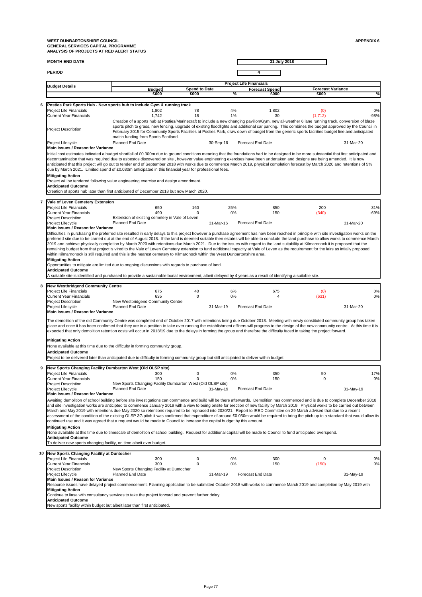|   | <b>MONTH END DATE</b>                                                                                                                                                                                                                                                                                                                                                                                                                                                                                                                                                                                                                                                                                                                                                                                                                                                                                                                                                                                                                                                        |                                                                                                                                                                                                                                                                                                                                                                                                                                                                                                      |          |                      |                                   | 31 July 2018 |                                  |                   |
|---|------------------------------------------------------------------------------------------------------------------------------------------------------------------------------------------------------------------------------------------------------------------------------------------------------------------------------------------------------------------------------------------------------------------------------------------------------------------------------------------------------------------------------------------------------------------------------------------------------------------------------------------------------------------------------------------------------------------------------------------------------------------------------------------------------------------------------------------------------------------------------------------------------------------------------------------------------------------------------------------------------------------------------------------------------------------------------|------------------------------------------------------------------------------------------------------------------------------------------------------------------------------------------------------------------------------------------------------------------------------------------------------------------------------------------------------------------------------------------------------------------------------------------------------------------------------------------------------|----------|----------------------|-----------------------------------|--------------|----------------------------------|-------------------|
|   | <b>PERIOD</b>                                                                                                                                                                                                                                                                                                                                                                                                                                                                                                                                                                                                                                                                                                                                                                                                                                                                                                                                                                                                                                                                |                                                                                                                                                                                                                                                                                                                                                                                                                                                                                                      |          |                      |                                   |              |                                  |                   |
|   | <b>Budget Details</b>                                                                                                                                                                                                                                                                                                                                                                                                                                                                                                                                                                                                                                                                                                                                                                                                                                                                                                                                                                                                                                                        |                                                                                                                                                                                                                                                                                                                                                                                                                                                                                                      |          |                      | <b>Project Life Financials</b>    |              |                                  |                   |
|   |                                                                                                                                                                                                                                                                                                                                                                                                                                                                                                                                                                                                                                                                                                                                                                                                                                                                                                                                                                                                                                                                              | <b>Budget</b><br>£000                                                                                                                                                                                                                                                                                                                                                                                                                                                                                | £000     | <b>Spend to Date</b> | <b>Forecast Spend</b><br>℅        | £000         | <b>Forecast Variance</b><br>£000 | ℅                 |
| 6 | <b>Posties Park Sports Hub - New sports hub to include Gym &amp; running track</b><br><b>Project Life Financials</b><br><b>Current Year Financials</b>                                                                                                                                                                                                                                                                                                                                                                                                                                                                                                                                                                                                                                                                                                                                                                                                                                                                                                                       | 1,802<br>1,742                                                                                                                                                                                                                                                                                                                                                                                                                                                                                       | 78<br>18 |                      | 4%<br>1%                          | 1,802<br>30  | (0)<br>(1, 712)                  | 0%<br>$-98%$      |
|   | <b>Project Description</b>                                                                                                                                                                                                                                                                                                                                                                                                                                                                                                                                                                                                                                                                                                                                                                                                                                                                                                                                                                                                                                                   | Creation of a sports hub at Posties/Marinecraft to include a new changing pavilion/Gym, new all-weather 6 lane running track, conversion of blaze<br>sports pitch to grass, new fencing, upgrade of existing floodlights and additional car parking. This combines the budget approved by the Council in<br>February 2015 for Community Sports Facilities at Posties Park, draw down of budget from the generic sports facilities budget line and anticipated<br>match funding from Sports Scotland. |          |                      |                                   |              |                                  |                   |
|   | <b>Project Lifecycle</b><br>Main Issues / Reason for Variance<br>Initial cost estimates indicated a budget shortfall of £0.300m due to ground conditions meaning that the foundations had to be designed to be more substantial that first anticipated and<br>decontamination that was required due to asbestos discovered on site, however value engineering exercises have been undertaken and designs are being amended. It is now                                                                                                                                                                                                                                                                                                                                                                                                                                                                                                                                                                                                                                        | <b>Planned End Date</b>                                                                                                                                                                                                                                                                                                                                                                                                                                                                              |          | 30-Sep-16            | <b>Forecast End Date</b>          |              |                                  | 31-Mar-20         |
|   | anticipated that this project will go out to tender end of September 2018 with works due to commence March 2019, physical completion forecast by March 2020 and retentions of 5%<br>due by March 2021. Limited spend of £0.030m anticipated in this financial year for professional fees.<br><b>Mitigating Action</b>                                                                                                                                                                                                                                                                                                                                                                                                                                                                                                                                                                                                                                                                                                                                                        |                                                                                                                                                                                                                                                                                                                                                                                                                                                                                                      |          |                      |                                   |              |                                  |                   |
|   | Project will be tendered following value engineering exercise and design amendment.<br><b>Anticipated Outcome</b><br>Creation of sports hub later than first anticipated of December 2018 but now March 2020.                                                                                                                                                                                                                                                                                                                                                                                                                                                                                                                                                                                                                                                                                                                                                                                                                                                                |                                                                                                                                                                                                                                                                                                                                                                                                                                                                                                      |          |                      |                                   |              |                                  |                   |
| 7 | <b>Vale of Leven Cemetery Extension</b>                                                                                                                                                                                                                                                                                                                                                                                                                                                                                                                                                                                                                                                                                                                                                                                                                                                                                                                                                                                                                                      |                                                                                                                                                                                                                                                                                                                                                                                                                                                                                                      |          |                      |                                   |              |                                  |                   |
|   | <b>Project Life Financials</b><br><b>Current Year Financials</b>                                                                                                                                                                                                                                                                                                                                                                                                                                                                                                                                                                                                                                                                                                                                                                                                                                                                                                                                                                                                             | 650<br>490                                                                                                                                                                                                                                                                                                                                                                                                                                                                                           | 160      |                      | 25%<br>$0\%$                      | 850<br>150   | 200<br>(340)                     | 31%<br>$-69%$     |
|   | <b>Project Description</b><br><b>Project Lifecycle</b>                                                                                                                                                                                                                                                                                                                                                                                                                                                                                                                                                                                                                                                                                                                                                                                                                                                                                                                                                                                                                       | Extension of existing cemetery in Vale of Leven<br><b>Planned End Date</b>                                                                                                                                                                                                                                                                                                                                                                                                                           |          | 31-Mar-16            | <b>Forecast End Date</b>          |              |                                  | 31-Mar-20         |
|   | <b>Main Issues / Reason for Variance</b><br>Difficulties in purchasing the preferred site resulted in early delays to this project however a purchase agreement has now been reached in principle with site investigation works on the<br>preferred site due to be carried out at the end of August 2018. If the land is deemed suitable then estates will be able to conclude the land purchase to allow works to commence March<br>2019 and achieve physically completion by March 2020 with retentions due March 2021. Due to the issues with regard to the land suitability at Kilmaronock it is proposed that the<br>remaining budget from that project is vired to the Vale of Leven Cemetery extension to fund additional capacity at Vale of Leven as the requirement for the lairs as intially proposed<br>within Kilmarnonock is still required and this is the nearest cemetery to Kilmaronock within the West Dunbartonshire area.                                                                                                                               |                                                                                                                                                                                                                                                                                                                                                                                                                                                                                                      |          |                      |                                   |              |                                  |                   |
|   | <b>Mitigating Action</b><br>Opportunities to mitigate are limited due to ongoing discussions with regards to purchase of land.<br><b>Anticipated Outcome</b><br>A suitable site is identified and purchased to provide a sustainable burial environment, albeit delayed by 4 years as a result of identifying a suitable site.                                                                                                                                                                                                                                                                                                                                                                                                                                                                                                                                                                                                                                                                                                                                               |                                                                                                                                                                                                                                                                                                                                                                                                                                                                                                      |          |                      |                                   |              |                                  |                   |
| 8 | New Westbridgend Community Centre<br><b>Project Life Financials</b>                                                                                                                                                                                                                                                                                                                                                                                                                                                                                                                                                                                                                                                                                                                                                                                                                                                                                                                                                                                                          | 675                                                                                                                                                                                                                                                                                                                                                                                                                                                                                                  | 40       |                      | 6%                                | 675          | (0)                              | 0%                |
|   | <b>Current Year Financials</b><br><b>Project Description</b><br>Project Lifecycle<br><b>Main Issues / Reason for Variance</b>                                                                                                                                                                                                                                                                                                                                                                                                                                                                                                                                                                                                                                                                                                                                                                                                                                                                                                                                                | 635<br>New Westbridgend Community Centre<br><b>Planned End Date</b>                                                                                                                                                                                                                                                                                                                                                                                                                                  | $\Omega$ | 31-Mar-19            | 0%<br><b>Forecast End Date</b>    | 4            | (631)                            | 0%<br>31-Mar-20   |
|   | The demolition of the old Community Centre was completed end of October 2017 with retentions being due October 2018. Meeting with newly constituted community group has taken<br>place and once it has been confirmed that they are in a position to take over running the establishment officers will progress to the design of the new community centre. At this time it is<br>expected that only demolition retention costs will occur in 2018/19 due to the delays in forming the group and therefore the difficulty faced in taking the project forward.                                                                                                                                                                                                                                                                                                                                                                                                                                                                                                                |                                                                                                                                                                                                                                                                                                                                                                                                                                                                                                      |          |                      |                                   |              |                                  |                   |
|   | <b>Mitigating Action</b><br>None available at this time due to the difficulty in forming community group.<br><b>Anticipated Outcome</b><br>Project to be delivered later than anticipated due to difficulty in forming community group but still anticipated to deliver within budget.                                                                                                                                                                                                                                                                                                                                                                                                                                                                                                                                                                                                                                                                                                                                                                                       |                                                                                                                                                                                                                                                                                                                                                                                                                                                                                                      |          |                      |                                   |              |                                  |                   |
| 9 | New Sports Changing Facility Dumbarton West (Old OLSP site)<br><b>Project Life Financials</b>                                                                                                                                                                                                                                                                                                                                                                                                                                                                                                                                                                                                                                                                                                                                                                                                                                                                                                                                                                                | 300                                                                                                                                                                                                                                                                                                                                                                                                                                                                                                  | $\left($ |                      | $0\%$                             | 350          | 50                               | 17%               |
|   | <b>Current Year Financials</b><br><b>Project Description</b><br><b>Project Lifecycle</b><br><b>Main Issues / Reason for Variance</b>                                                                                                                                                                                                                                                                                                                                                                                                                                                                                                                                                                                                                                                                                                                                                                                                                                                                                                                                         | 150<br>New Sports Changing Facility Dumbarton West (Old OLSP site)<br><b>Planned End Date</b>                                                                                                                                                                                                                                                                                                                                                                                                        |          | $31-May-19$          | $0\%$<br><b>Forecast End Date</b> | 150          | $\Omega$                         | 0%<br>$31-May-19$ |
|   | Awaiting demolition of school building before site investigations can commence and build will be there afterwards. Demolition has commenced and is due to complete December 2018<br>and site investigation works are anticipted to commence January 2019 with a view to being onsite for erection of new facility by March 2019. Physical works to be carried out between<br>March and May 2019 with retentions due May 2020 so retentions required to be rephased into 2020/21. Report to IRED Committee on 29 March advised that due to a recent<br>assessment of the condition of the existing OLSP 3G pitch it was confirmed that expenditure of around £0.050m would be required to bring the pitch up to a standard that would allow its<br>continued use and it was agreed that a request would be made to Council to increase the capital budget by this amount.<br><b>Mitigating Action</b><br>None available at this time due to timescale of demolition of school building. Request for additional capital will be made to Council to fund anticipated overspend. |                                                                                                                                                                                                                                                                                                                                                                                                                                                                                                      |          |                      |                                   |              |                                  |                   |
|   | <b>Anticipated Outcome</b><br>To deliver new sports changing facility, on time albeit over budget.                                                                                                                                                                                                                                                                                                                                                                                                                                                                                                                                                                                                                                                                                                                                                                                                                                                                                                                                                                           |                                                                                                                                                                                                                                                                                                                                                                                                                                                                                                      |          |                      |                                   |              |                                  |                   |
|   | 10 New Sports Changing Facility at Duntocher<br><b>Project Life Financials</b><br><b>Current Year Financials</b>                                                                                                                                                                                                                                                                                                                                                                                                                                                                                                                                                                                                                                                                                                                                                                                                                                                                                                                                                             | 300<br>300                                                                                                                                                                                                                                                                                                                                                                                                                                                                                           |          |                      | 0%<br>$0\%$                       | 300<br>150   | 0<br>(150)                       | 0%<br>0%          |
|   | <b>Project Description</b><br><b>Project Lifecycle</b>                                                                                                                                                                                                                                                                                                                                                                                                                                                                                                                                                                                                                                                                                                                                                                                                                                                                                                                                                                                                                       | New Sports Changing Facility at Duntocher<br><b>Planned End Date</b>                                                                                                                                                                                                                                                                                                                                                                                                                                 |          | 31-Mar-19            | <b>Forecast End Date</b>          |              |                                  | 31-May-19         |
|   | <b>Main Issues / Reason for Variance</b><br>Resource issues have delayed project commencement. Planning application to be submitted October 2018 with works to commence March 2019 and completion by May 2019 with<br><b>Mitigating Action</b>                                                                                                                                                                                                                                                                                                                                                                                                                                                                                                                                                                                                                                                                                                                                                                                                                               |                                                                                                                                                                                                                                                                                                                                                                                                                                                                                                      |          |                      |                                   |              |                                  |                   |
|   | Continue to liase with consultancy services to take the project forward and prevent further delay.<br><b>Anticipated Outcome</b><br>New sports facility within budget but albeit later than first anticipated.                                                                                                                                                                                                                                                                                                                                                                                                                                                                                                                                                                                                                                                                                                                                                                                                                                                               |                                                                                                                                                                                                                                                                                                                                                                                                                                                                                                      |          |                      |                                   |              |                                  |                   |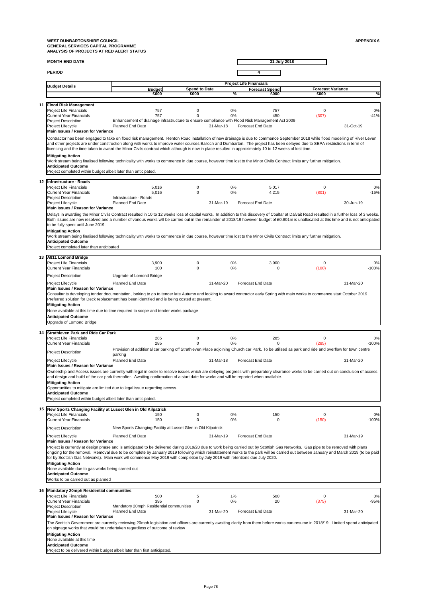| <b>MONTH END DATE</b>                                  |                                                                                                                                                                                                                                                                                                                                                                                                                                                                                                                       |                      |                                | 31 July 2018             |                          |           |
|--------------------------------------------------------|-----------------------------------------------------------------------------------------------------------------------------------------------------------------------------------------------------------------------------------------------------------------------------------------------------------------------------------------------------------------------------------------------------------------------------------------------------------------------------------------------------------------------|----------------------|--------------------------------|--------------------------|--------------------------|-----------|
| <b>PERIOD</b>                                          |                                                                                                                                                                                                                                                                                                                                                                                                                                                                                                                       |                      |                                |                          |                          |           |
| <b>Budget Details</b>                                  |                                                                                                                                                                                                                                                                                                                                                                                                                                                                                                                       |                      | <b>Project Life Financials</b> |                          |                          |           |
|                                                        | <b>Budget</b>                                                                                                                                                                                                                                                                                                                                                                                                                                                                                                         | <b>Spend to Date</b> |                                | <b>Forecast Spend</b>    | <b>Forecast Variance</b> |           |
|                                                        | £000                                                                                                                                                                                                                                                                                                                                                                                                                                                                                                                  | £000                 | ℅                              | £000                     | £000                     | %         |
| 11 Flood Risk Management                               |                                                                                                                                                                                                                                                                                                                                                                                                                                                                                                                       |                      |                                |                          |                          |           |
| <b>Project Life Financials</b>                         | 757                                                                                                                                                                                                                                                                                                                                                                                                                                                                                                                   | 0                    | 0%                             | 757                      | $\overline{0}$           | 0%        |
| <b>Current Year Financials</b>                         | 757                                                                                                                                                                                                                                                                                                                                                                                                                                                                                                                   | ∩                    | $0\%$                          | 450                      | (307)                    | $-41%$    |
| <b>Project Description</b>                             | Enhancement of drainage infrastructure to ensure compliance with Flood Risk Management Act 2009                                                                                                                                                                                                                                                                                                                                                                                                                       |                      |                                |                          |                          |           |
| <b>Project Lifecycle</b>                               | <b>Planned End Date</b>                                                                                                                                                                                                                                                                                                                                                                                                                                                                                               | 31-Mar-18            |                                | <b>Forecast End Date</b> |                          | 31-Oct-19 |
| Main Issues / Reason for Variance                      |                                                                                                                                                                                                                                                                                                                                                                                                                                                                                                                       |                      |                                |                          |                          |           |
|                                                        | Contractor has been engaged to take on flood risk management. Renton Road installation of new drainage is due to commence September 2018 while flood modelling of River Leven<br>and other projects are under construction along with works to improve water courses Balloch and Dumbarton. The project has been delayed due to SEPA restrictions in term of<br>licencing and the time taken to award the Minor Civils contract which although is now in place resulted in approximately 10 to 12 weeks of lost time. |                      |                                |                          |                          |           |
| <b>Mitigating Action</b><br><b>Anticipated Outcome</b> | Work stream being finalised following technicality with works to commence in due course, however time lost to the Minor Civils Contract limits any further mitigation.<br>Project completed within budget albeit later than anticipated.                                                                                                                                                                                                                                                                              |                      |                                |                          |                          |           |
|                                                        |                                                                                                                                                                                                                                                                                                                                                                                                                                                                                                                       |                      |                                |                          |                          |           |
| 12 Infrastructure - Roads                              |                                                                                                                                                                                                                                                                                                                                                                                                                                                                                                                       |                      |                                |                          |                          |           |
| <b>Project Life Financials</b>                         | 5,016                                                                                                                                                                                                                                                                                                                                                                                                                                                                                                                 | 0                    | $0\%$                          | 5,017                    | $\mathbf 0$              | 0%        |

|    | <b>Project Life Financials</b><br><b>Current Year Financials</b><br><b>Project Description</b><br>Project Lifecycle<br><b>Main Issues / Reason for Variance</b>                                   | 5,016<br>5,016<br>Infrastructure - Roads<br><b>Planned End Date</b>                                                                                                                                                                                                                                                                                                                                                                                                                                                                                                 | $\mathbf 0$<br>0 | 0%<br>$0\%$<br>31-Mar-19 | 5,017<br>4,215<br><b>Forecast End Date</b> | $\mathbf 0$<br>(801)    | 0%<br>$-16%$<br>30-Jun-19 |
|----|---------------------------------------------------------------------------------------------------------------------------------------------------------------------------------------------------|---------------------------------------------------------------------------------------------------------------------------------------------------------------------------------------------------------------------------------------------------------------------------------------------------------------------------------------------------------------------------------------------------------------------------------------------------------------------------------------------------------------------------------------------------------------------|------------------|--------------------------|--------------------------------------------|-------------------------|---------------------------|
|    | to be fully spent until June 2019.<br><b>Mitigating Action</b><br><b>Anticipated Outcome</b><br>Project completed later than anticipated                                                          | Delays in awarding the Minor Civils Contract resulted in 10 to 12 weeks loss of capital works. In addition to this discovery of Coaltar at Dalvait Road resulted in a further loss of 3 weeks.<br>Both issues are now resolved and a number of various works will be carried out in the remainder of 2018/19 however budget of £0.801m is unallocated at this time and is not anticipated<br>Work stream being finalised following technicality with works to commence in due course, however time lost to the Minor Civils Contract limits any further mitigation. |                  |                          |                                            |                         |                           |
|    | 13 A811 Lomond Bridge                                                                                                                                                                             |                                                                                                                                                                                                                                                                                                                                                                                                                                                                                                                                                                     |                  |                          |                                            |                         |                           |
|    | <b>Project Life Financials</b><br><b>Current Year Financials</b>                                                                                                                                  | 3,900<br>100                                                                                                                                                                                                                                                                                                                                                                                                                                                                                                                                                        | 0<br>$\Omega$    | 0%<br>$0\%$              | 3,900<br>0                                 | $\overline{0}$<br>(100) | 0%<br>$-100%$             |
|    | <b>Project Description</b>                                                                                                                                                                        | Upgrade of Lomond Bridge                                                                                                                                                                                                                                                                                                                                                                                                                                                                                                                                            |                  |                          |                                            |                         |                           |
|    | <b>Project Lifecycle</b><br><b>IMain Issues / Reason for Variance</b><br><b>Mitigating Action</b><br><b>Anticipated Outcome</b><br>Upgrade of Lomond Bridge                                       | <b>Planned End Date</b><br>Consultants developing tender documentation, looking to go to tender late Autumn and looking to award contractor early Spring with main works to commence start October 2019.<br>Preferred solution for Deck replacement has been identified and is being costed at present.<br>None available at this time due to time required to scope and tender works package                                                                                                                                                                       |                  | 31-Mar-20                | <b>Forecast End Date</b>                   |                         | 31-Mar-20                 |
| 14 | <b>Strathleven Park and Ride Car Park</b>                                                                                                                                                         |                                                                                                                                                                                                                                                                                                                                                                                                                                                                                                                                                                     |                  |                          |                                            |                         |                           |
|    | <b>Project Life Financials</b><br><b>Current Year Financials</b>                                                                                                                                  | 285<br>285                                                                                                                                                                                                                                                                                                                                                                                                                                                                                                                                                          |                  | 0%<br>$0\%$              | 285                                        | $\Omega$<br>(285)       | $0\%$<br>$-100%$          |
|    | <b>Project Description</b>                                                                                                                                                                        | Provision of additional car parking off Strathleven Place adjoining Church car Park. To be utilised as park and ride and overflow for town centre<br>parking                                                                                                                                                                                                                                                                                                                                                                                                        |                  |                          |                                            |                         |                           |
|    | <b>Project Lifecycle</b><br><b>IMain Issues / Reason for Variance</b><br><b>Mitigating Action</b><br><b>Anticipated Outcome</b><br>Project completed within budget albeit later than anticipated. | <b>Planned End Date</b><br>Ownership and Access issues are currently with legal in order to resolve issues which are delaying progress with preparatory clearance works to be carried out on conclusion of access<br>and design and build of the car park thereafter. Awaiting confirmation of a start date for works and will be reported when available.<br>Opportunities to mitigate are limited due to legal issue regarding access.                                                                                                                            |                  | 31-Mar-18                | <b>Forecast End Date</b>                   |                         | 31-Mar-20                 |
| 15 | New Sports Changing Facility at Lusset Glen in Old Kilpatrick                                                                                                                                     |                                                                                                                                                                                                                                                                                                                                                                                                                                                                                                                                                                     |                  |                          |                                            |                         |                           |
|    | <b>Project Life Financials</b><br><b>Current Year Financials</b>                                                                                                                                  | 150<br>150                                                                                                                                                                                                                                                                                                                                                                                                                                                                                                                                                          | O<br>0           | 0%<br>0%                 | 150<br>$\Omega$                            | 0<br>(150)              | 0%<br>$-100%$             |
|    | <b>Project Description</b>                                                                                                                                                                        | New Sports Changing Facility at Lusset Glen in Old Kilpatrick                                                                                                                                                                                                                                                                                                                                                                                                                                                                                                       |                  |                          |                                            |                         |                           |
|    | <b>Project Lifecycle</b>                                                                                                                                                                          | <b>Planned End Date</b>                                                                                                                                                                                                                                                                                                                                                                                                                                                                                                                                             |                  | 31-Mar-19                | <b>Forecast End Date</b>                   |                         | 31-Mar-19                 |
|    | <b>Main Issues / Reason for Variance</b><br><b>Mitigating Action</b><br>None available due to gas works being carried out<br><b>Anticipated Outcome</b><br>Works to be carried out as planned     | Project is currently at design phase and is anticipated to be delivered during 2019/20 due to work being carried out by Scottish Gas Networks. Gas pipe to be removed with plans<br>ongoing for the removal. Removal due to be complete by January 2019 following which reinstatement works to the park will be carried out between January and March 2019 (to be paid<br>for by Scottish Gas Networks). Main work will commence May 2019 with completion by July 2019 with retentions due July 2020.                                                               |                  |                          |                                            |                         |                           |
| 16 | <b>IMandatory 20mph Residential communities</b>                                                                                                                                                   |                                                                                                                                                                                                                                                                                                                                                                                                                                                                                                                                                                     |                  |                          |                                            |                         |                           |
|    | <b>Project Life Financials</b><br><b>Current Year Financials</b><br><b>Project Description</b><br><b>Project Lifecycle</b><br>Main Issues / Reason for Variance                                   | 500<br>395<br>Mandatory 20mph Residential communities<br><b>Planned End Date</b>                                                                                                                                                                                                                                                                                                                                                                                                                                                                                    | 5<br>0           | 1%<br>0%<br>31-Mar-20    | 500<br>20<br><b>Forecast End Date</b>      | $\mathbf 0$<br>(375)    | 0%<br>$-95%$<br>31-Mar-20 |
|    |                                                                                                                                                                                                   | The Scottish Government are currently reviewing 20mph legislation and officers are currently awaiting clarity from them before works can resume in 2018/19. Limited spend anticipated<br>on signage works that would be undertaken regardless of outcome of review                                                                                                                                                                                                                                                                                                  |                  |                          |                                            |                         |                           |
|    | <b>Mitigating Action</b><br>None available at this time<br><b>Anticipated Outcome</b><br>Project to be delivered within budget albeit later than first anticipated.                               |                                                                                                                                                                                                                                                                                                                                                                                                                                                                                                                                                                     |                  |                          |                                            |                         |                           |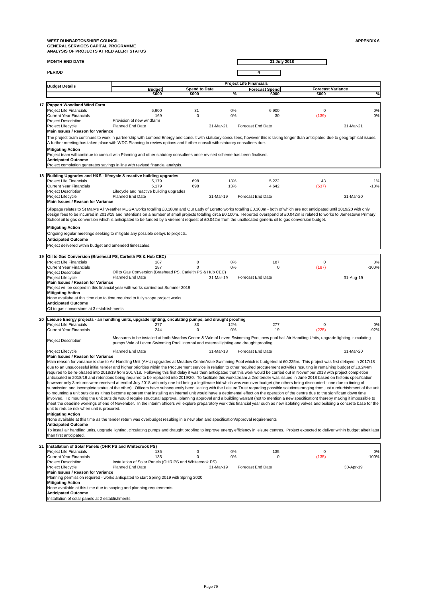**MONTH END DATE**

**PERIOD 4**

**31 July 2018**

**20 Leisure Energy projects - air handling units, upgrade lighting, circulating pumps, and draught proofing** Project Life Financials **277** 277 33 12% 277 0 0% Current Year Financials **244** 244 0 0 0% 19 (225) -92% Project Description Project Lifecycle 31-Mar-18 31-Mar-20 **Main Issues / Reason for Variance**  Main reason for variance is due to Air Handling Unit (AHU) upgrades at Meadow Centre/Vale Swimming Pool which is budgeted at £0.225m. This project was first delayed in 2017/18 due to an unsuccessful initial tender and higher priorities within the Procurement service in relation to other required procurement activities resulting in remaining budget of £0.244m required to be re-phased into 2018/19 from 2017/18. Following this first delay it was then anticipated that this work would be carried out in November 2018 with project completion anticipated in 2018/19 and retentions being required to be rephased into 2019/20. To facilitate this workstream a 2nd tender was issued in June 2018 based on historic specification however only 3 returns were received at end of July 2018 with only one bid being a legitimate bid which was was over budget (the others being discounted - one due to timing of submission and incomplete status of the other). Officers have subsequently been liaising with the Leisure Trust regarding possible solutions ranging from just a refurbishment of the unit to mounting a unit outside as it has become apparent that installing an internal unit would have a detrimental effect on the operation of the centre due to the significant down time involved. To mounting the unit outside would require structural approval, planning approval and a building warrant (not to mention a new specification) thereby making it impossible to meet the deadline workings of end of November. In the interim officers will explore preparatory work this financial year such as new isolating valves and building a concrete base for the unit to reduce risk when unit is procured. Oil to gas conversions at 3 establishments Measures to be installed at both Meadow Centre & Vale of Leven Swimming Pool; new pool hall Air Handling Units, upgrade lighting, circulating pumps Vale of Leven Swimming Pool, internal and external lighting and draught proofing. Planned End Date **Forecast End Date Planned End Date Forecast End Date Mitigating Action** None available at this time as the tender return was overbudget resulting in a new plan and specification/approval requirements **Anticipated Outcome** To install air handling units, upgrade lighting, circulating pumps and draught proofing to improve energy efficiency in leisure centres. Project expected to deliver within budget albeit later than first anticipated.

| 21  Installation of Solar Panels (OHR PS and Whitecrook PS)                                               |                                                                                       |                                                  |    |     |       |         |  |  |  |
|-----------------------------------------------------------------------------------------------------------|---------------------------------------------------------------------------------------|--------------------------------------------------|----|-----|-------|---------|--|--|--|
| <b>Project Life Financials</b>                                                                            | 135                                                                                   |                                                  | 0% | 135 |       | 0%      |  |  |  |
| <b>Current Year Financials</b>                                                                            | 135                                                                                   |                                                  | 0% |     | (135) | $-100%$ |  |  |  |
| Installation of Solar Panels (OHR PS and Whitecrook PS)<br><b>Project Description</b>                     |                                                                                       |                                                  |    |     |       |         |  |  |  |
| <b>Planned End Date</b><br><b>Forecast End Date</b><br><b>Project Lifecycle</b><br>31-Mar-19<br>30-Apr-19 |                                                                                       |                                                  |    |     |       |         |  |  |  |
| <b>IMain Issues / Reason for Variance</b>                                                                 |                                                                                       |                                                  |    |     |       |         |  |  |  |
|                                                                                                           | Planning permission required - works anticpated to start Spring 2019 with Spring 2020 |                                                  |    |     |       |         |  |  |  |
| <b>Mitigating Action</b>                                                                                  |                                                                                       |                                                  |    |     |       |         |  |  |  |
| None available at this time due to scoping and planning requirements                                      |                                                                                       |                                                  |    |     |       |         |  |  |  |
| <b>Anticipated Outcome</b>                                                                                |                                                                                       |                                                  |    |     |       |         |  |  |  |
|                                                                                                           |                                                                                       | Installation of solar panels at 2 establishments |    |     |       |         |  |  |  |

**Anticipated Outcome**

**Budget Forecast Spend**<br> **E000 E000 E000 E000 E000 E000 E000 £000 £000 % £000 £000 % Project Life Financials** Budget Details Budget **National Spend to Date** Forecast Spend <mark>Forecast Variance</mark> **17 Pappert Woodland Wind Farm** Project Life Financials 6,900 6,900 31 0% 6,900 0 0% 6,900 0 0% Current Year Financials 169 0 0% 30 (139) 0% Project Description Project Lifecycle 31-Mar-21 31-Mar-21 **18 Building Upgrades and H&S - lifecycle & reactive building upgrades** Project Life Financials 5,179 698 13% 5,222 43 1% Current Year Financials 5,179 698 13% 4,642 (537) -10% Project Description Project Lifecycle Planned End Date 31-Mar-19 Forecast End Date **19 Oil to Gas Conversion (Braehead PS, Carleith PS & Hub CEC)** Project Life Financials **187** 0 0% 187 0 0% 187 0 0% 0% 0% 0% 0% 0% 0% 0% 0% 0% Current Year Financials **187** 187 0 0% 0% 0 (187) -100% Project Description Project Lifecycle Planned End Date 31-Mar-19 Forecast End Date 31-Aug-19 **Main Issues / Reason for Variance**  The project team continues to work in partnership with Lomond Energy and consult with statutory consultees, however this is taking longer than anticipated due to geographical issues. A further meeting has taken place with WDC Planning to review options and further consult with statutory consultees due. **Mitigating Action** Project team will continue to consult with Planning and other statutory consultees once revised scheme has been finalised. **Anticipated Outcome** Project completion generates savings in line with revised financial analysis. Provision of new windfarm Planned End Date **Forecast End Date Planned End Date Forecast End Date Anticipated Outcome** Project delivered within budget and amended timescales. Oil to Gas Conversion (Braehead PS, Carleith PS & Hub CEC) Lifecycle and reactive building upgrades Planned End Date **Forecast End Date Planned End Date Forecast End Date Main Issues / Reason for Variance**  Slippage relates to St Mary's All Weather MUGA works totalling £0.180m and Our Lady of Loretto works totalling £0.300m - both of which are not anticipated until 2019/20 with only design fees to be incurred in 2018/19 and retentions on a number of small projects totalling circa £0.100m. Reported overspend of £0.042m is related to works to Jamestown Primary School oil to gas conversion which is anticipated to be funded by a virement request of £0.042m from the unallocated generic oil to gas conversion budget. **Mitigating Action** Ongoing regular meetings seeking to mitigate any possible delays to projects. **Main Issues / Reason for Variance**  Project will be scoped in this financial year with works carried out Summer 2019 **Mitigating Action** None availabe at this time due to time required to fully scope project works Planned End Date **Forecast End Date Forecast End Date Forecast End Date**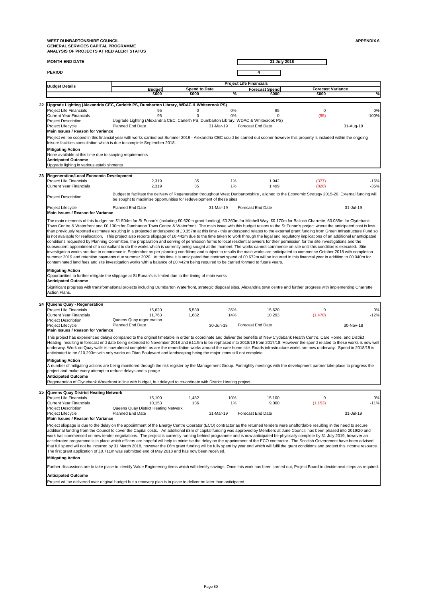| <b>MONTH END DATE</b>  | 31 July 2018                   |
|------------------------|--------------------------------|
| <b>PERIOD</b>          |                                |
| <b>IDudast Dataile</b> | <b>Project Life Financials</b> |

| <b>Budget Details</b>                                                                                                                                                                                                                                                                                                                                                                   | <b>Budget</b>                                                                                                                                                                                                             | <b>Spend to Date</b> |                | <b>Forecast Spend</b>    | <b>Forecast Variance</b> |           |
|-----------------------------------------------------------------------------------------------------------------------------------------------------------------------------------------------------------------------------------------------------------------------------------------------------------------------------------------------------------------------------------------|---------------------------------------------------------------------------------------------------------------------------------------------------------------------------------------------------------------------------|----------------------|----------------|--------------------------|--------------------------|-----------|
|                                                                                                                                                                                                                                                                                                                                                                                         | £000                                                                                                                                                                                                                      | £000                 | ℅              | £000                     | £000                     |           |
| 22 Upgrade Lighting (Alexandria CEC, Carleith PS, Dumbarton Library, WDAC & Whitecrook PS)                                                                                                                                                                                                                                                                                              |                                                                                                                                                                                                                           |                      |                |                          |                          |           |
| <b>Project Life Financials</b>                                                                                                                                                                                                                                                                                                                                                          | 95                                                                                                                                                                                                                        |                      | $0\%$          | 95                       | 0                        | 0%        |
| <b>Current Year Financials</b>                                                                                                                                                                                                                                                                                                                                                          | 95                                                                                                                                                                                                                        |                      | $0\%$          |                          | (95)                     | $-100%$   |
| <b>Project Description</b><br><b>Project Lifecycle</b>                                                                                                                                                                                                                                                                                                                                  | Upgrade Lighting (Alexandria CEC, Carleith PS, Dumbarton Library, WDAC & Whitecrook PS)<br><b>Planned End Date</b>                                                                                                        |                      | 31-Mar-19      | <b>Forecast End Date</b> |                          | 31-Aug-19 |
| Main Issues / Reason for Variance                                                                                                                                                                                                                                                                                                                                                       |                                                                                                                                                                                                                           |                      |                |                          |                          |           |
| Project will be scoped in this financial year with works carried out Summer 2019 - Alexandria CEC could be carried out sooner however this property is included within the ongoing<br>leisure facilities consultation which is due to complete September 2018.                                                                                                                          |                                                                                                                                                                                                                           |                      |                |                          |                          |           |
| <b>Mitigating Action</b>                                                                                                                                                                                                                                                                                                                                                                |                                                                                                                                                                                                                           |                      |                |                          |                          |           |
| None available at this time due to scoping requirements                                                                                                                                                                                                                                                                                                                                 |                                                                                                                                                                                                                           |                      |                |                          |                          |           |
| <b>Anticipated Outcome</b><br>Upgrade lighing in various establishments                                                                                                                                                                                                                                                                                                                 |                                                                                                                                                                                                                           |                      |                |                          |                          |           |
|                                                                                                                                                                                                                                                                                                                                                                                         |                                                                                                                                                                                                                           |                      |                |                          |                          |           |
| 23 Regeneration/Local Economic Development                                                                                                                                                                                                                                                                                                                                              |                                                                                                                                                                                                                           |                      |                |                          |                          |           |
| <b>Project Life Financials</b><br><b>Current Year Financials</b>                                                                                                                                                                                                                                                                                                                        | 2,319                                                                                                                                                                                                                     | 35<br>35             | $1\%$<br>$1\%$ | 1,942                    | (377)                    | $-16%$    |
|                                                                                                                                                                                                                                                                                                                                                                                         | 2,319                                                                                                                                                                                                                     |                      |                | 1,499                    | (820)                    | $-35%$    |
| <b>Project Description</b>                                                                                                                                                                                                                                                                                                                                                              | Budget to facilitate the delivery of Regeneration throughout West Dunbartonshire, aligned to the Economic Strategy 2015-20. External funding will<br>be sought to maximise opportunities for redevelopment of these sites |                      |                |                          |                          |           |
| Project Lifecycle<br><b>Main Issues / Reason for Variance</b>                                                                                                                                                                                                                                                                                                                           | <b>Planned End Date</b>                                                                                                                                                                                                   |                      | 31-Mar-19      | <b>Forecast End Date</b> |                          | 31-Jul-19 |
| The main elements of this budget are £1.504m for St Eunan's (including £0.620m grant funding), £0.360m for Mitchell Way, £0.170m for Balloch Charrette, £0.085m for Clydebank                                                                                                                                                                                                           |                                                                                                                                                                                                                           |                      |                |                          |                          |           |
| Town Centre & Waterfront and £0.130m for Dumbarton Town Centre & Waterfront. The main issue with this budget relates to the St Eunan's project where the anticipated cost is less                                                                                                                                                                                                       |                                                                                                                                                                                                                           |                      |                |                          |                          |           |
| than previously reported estimates resulting in a projected underspend of £0.357m at this time - this underspend relates to the external grant funding from Green Infrastructure Fund so<br>is not available for reallocation. This project also reports slippage of £0.442m due to the time taken to work through the legal and regulatory implications of an additional unanticipated |                                                                                                                                                                                                                           |                      |                |                          |                          |           |
| conditions requested by Planning Committee, the preparation and serving of permission forms to local residential owners for their permission for the site investigations and the                                                                                                                                                                                                        |                                                                                                                                                                                                                           |                      |                |                          |                          |           |
| subsequent appointment of a consultant to do the works which is currently being sought at the moment. The works cannot commence on site until this condition is executed. Site                                                                                                                                                                                                          |                                                                                                                                                                                                                           |                      |                |                          |                          |           |
| investigation works are due to commence in September as per planning conditions and subject to results the main works are anticipated to commence October 2018 with completion<br>summer 2019 and retention payments due summer 2020. At this time it is anticipated that contract spend of £0.672m will be incurred in this financial year in addition to £0.040m for                  |                                                                                                                                                                                                                           |                      |                |                          |                          |           |
| contaminated land fees and site investigation works with a balance of £0.442m being required to be carried forward to future years.                                                                                                                                                                                                                                                     |                                                                                                                                                                                                                           |                      |                |                          |                          |           |
| <b>Mitigating Action</b><br>Opportunities to further mitigate the slippage at St Eunan's is limited due to the timing of main works                                                                                                                                                                                                                                                     |                                                                                                                                                                                                                           |                      |                |                          |                          |           |
| <b>Anticipated Outcome</b>                                                                                                                                                                                                                                                                                                                                                              |                                                                                                                                                                                                                           |                      |                |                          |                          |           |
| Significant progress with transformational projects including Dumbarton Waterfront, strategic disposal sites, Alexandria town centre and further progress with implementing Charrette                                                                                                                                                                                                   |                                                                                                                                                                                                                           |                      |                |                          |                          |           |
| <b>Action Plans.</b>                                                                                                                                                                                                                                                                                                                                                                    |                                                                                                                                                                                                                           |                      |                |                          |                          |           |
|                                                                                                                                                                                                                                                                                                                                                                                         |                                                                                                                                                                                                                           |                      |                |                          |                          |           |
| 24 Queens Quay - Regeneration<br><b>Project Life Financials</b>                                                                                                                                                                                                                                                                                                                         | 15,620                                                                                                                                                                                                                    | 5,539                | 35%            | 15,620                   | 0                        | 0%        |
| <b>Current Year Financials</b>                                                                                                                                                                                                                                                                                                                                                          | 11,763                                                                                                                                                                                                                    | 1,682                | 14%            | 10,293                   | (1,470)                  | $-12%$    |
| <b>Project Description</b>                                                                                                                                                                                                                                                                                                                                                              | Queens Quay regeneration                                                                                                                                                                                                  |                      |                |                          |                          |           |
| Project Lifecycle<br><b>Main Issues / Reason for Variance</b>                                                                                                                                                                                                                                                                                                                           | <b>Planned End Date</b>                                                                                                                                                                                                   |                      | 30-Jun-18      | <b>Forecast End Date</b> |                          | 30-Nov-18 |
| This project has experienced delays compared to the original timetable in order to coordinate and deliver the benefits of New Clydebank Health Centre, Care Home, and District                                                                                                                                                                                                          |                                                                                                                                                                                                                           |                      |                |                          |                          |           |
| Heating, resulting in forecast end date being extended to November 2018 and £11.5m to be rephased into 2018/19 from 2017/18. However the spend related to these works is now well                                                                                                                                                                                                       |                                                                                                                                                                                                                           |                      |                |                          |                          |           |
| underway. Work on Quay walls is now almost complete, as are the remediation works around the care home site. Roads infrastructure works are now underway. Spend in 2018/19 is                                                                                                                                                                                                           |                                                                                                                                                                                                                           |                      |                |                          |                          |           |
| anticipated to be £10.293m with only works on Titan Boulevard and landscaping being the major items still not complete.                                                                                                                                                                                                                                                                 |                                                                                                                                                                                                                           |                      |                |                          |                          |           |
| <b>Mitigating Action</b>                                                                                                                                                                                                                                                                                                                                                                |                                                                                                                                                                                                                           |                      |                |                          |                          |           |
| A number of mitigating actions are being monitored through the risk register by the Management Group. Fortnightly meetings with the development partner take place to progress the<br>project and make every attempt to reduce delays and slippage.                                                                                                                                     |                                                                                                                                                                                                                           |                      |                |                          |                          |           |
| <b>Anticipated Outcome</b>                                                                                                                                                                                                                                                                                                                                                              |                                                                                                                                                                                                                           |                      |                |                          |                          |           |
| Regeneration of Clydebank Waterfront in line with budget, but delayed to co-ordinate with District Heating project.                                                                                                                                                                                                                                                                     |                                                                                                                                                                                                                           |                      |                |                          |                          |           |
|                                                                                                                                                                                                                                                                                                                                                                                         |                                                                                                                                                                                                                           |                      |                |                          |                          |           |
| 25 Queens Quay District Heating Network<br><b>Project Life Financials</b>                                                                                                                                                                                                                                                                                                               | 15,100                                                                                                                                                                                                                    | 1,482                | 10%            | 15,100                   | 0                        | 0%        |
| <b>Current Year Financials</b>                                                                                                                                                                                                                                                                                                                                                          | 10,153                                                                                                                                                                                                                    | 136                  | $1\%$          | 9,000                    | (1, 153)                 | $-11%$    |
| <b>Project Description</b>                                                                                                                                                                                                                                                                                                                                                              | Queens Quay District Heating Network                                                                                                                                                                                      |                      |                |                          |                          |           |
| <b>Project Lifecycle</b><br><b>Main Issues / Reason for Variance</b>                                                                                                                                                                                                                                                                                                                    | <b>Planned End Date</b>                                                                                                                                                                                                   |                      | 31-Mar-19      | <b>Forecast End Date</b> |                          | 31-Jul-19 |
| Project slippage is due to the delay on the appointment of the Energy Centre Operator (ECO) contractor as the returned tenders were unaffordable resulting in the need to secure                                                                                                                                                                                                        |                                                                                                                                                                                                                           |                      |                |                          |                          |           |
| additional funding from the Council to cover the Capital costs. An additional £3m of capital funding was approved by Members at June Council, has been phased into 2019/20 and                                                                                                                                                                                                          |                                                                                                                                                                                                                           |                      |                |                          |                          |           |
| work has commenced on new tender negotiations. The project is currently running behind programme and is now anticipated be physically complete by 31 July 2019, however an                                                                                                                                                                                                              |                                                                                                                                                                                                                           |                      |                |                          |                          |           |
| accelerated programme is in place which officers are hopeful will help to minimise the delay on the appointment of the ECO contractor. The Scottish Government have been advised                                                                                                                                                                                                        |                                                                                                                                                                                                                           |                      |                |                          |                          |           |
| that full spend will not be incurred by 31 March 2018, however the £6m grant funding will be fully spent by year end which will fulfil the grant conditions and protect this income resource.                                                                                                                                                                                           |                                                                                                                                                                                                                           |                      |                |                          |                          |           |
| The first grant application of £0.711m was submitted end of May 2018 and has now been received.                                                                                                                                                                                                                                                                                         |                                                                                                                                                                                                                           |                      |                |                          |                          |           |
| <b>Mitigating Action</b>                                                                                                                                                                                                                                                                                                                                                                |                                                                                                                                                                                                                           |                      |                |                          |                          |           |
| Further discussions are to take place to identify Value Engineering items which will identify savings. Once this work has been carried out, Project Board to decide next steps as required.                                                                                                                                                                                             |                                                                                                                                                                                                                           |                      |                |                          |                          |           |
| <b>Anticipated Outcome</b>                                                                                                                                                                                                                                                                                                                                                              |                                                                                                                                                                                                                           |                      |                |                          |                          |           |
|                                                                                                                                                                                                                                                                                                                                                                                         |                                                                                                                                                                                                                           |                      |                |                          |                          |           |

Project will be delivered over original budget but a recovery plan is in place to deliver no later than anticipated.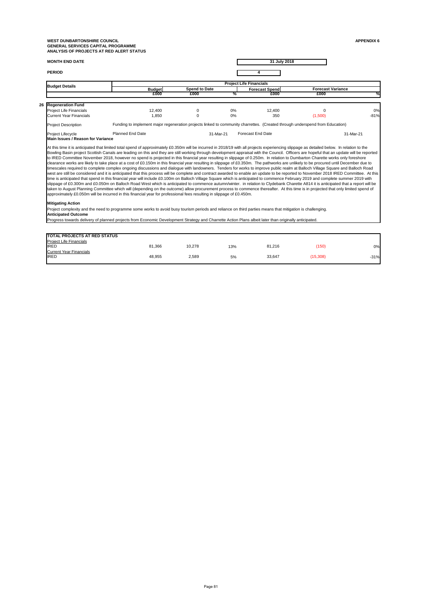| <b>MONTH END DATE</b> | 31 July 2018 |
|-----------------------|--------------|
| <b>PERIOD</b>         |              |

| <b>TOTAL PROJECTS AT RED STATUS</b> |        |        |     |        |          |        |
|-------------------------------------|--------|--------|-----|--------|----------|--------|
| <b>Project Life Financials</b>      |        |        |     |        |          |        |
| <b>IRED</b>                         | 81,366 | 10,278 | 13% | 81,216 | (150)    | 0%     |
| <b>Current Year Financials</b>      |        |        |     |        |          |        |
| <b>IRED</b>                         | 48,955 | 2,589  | 5%  | 33,647 | (15,308) | $-31%$ |
|                                     |        |        |     |        |          |        |

|  |                                                        | <b>Project Life Financials</b>                                                                                                                                                                                                                                                                                                                                                                                                                                                                                                                                                                                                                                                                                                                                                                                                                                                                                                                                                                                                                                                                                                                                                                                                                                                                                                                                                                                                                                                                                                                                                                                                                                                                                                                                                                                                            |                      |       |                          |                          |           |  |  |
|--|--------------------------------------------------------|-------------------------------------------------------------------------------------------------------------------------------------------------------------------------------------------------------------------------------------------------------------------------------------------------------------------------------------------------------------------------------------------------------------------------------------------------------------------------------------------------------------------------------------------------------------------------------------------------------------------------------------------------------------------------------------------------------------------------------------------------------------------------------------------------------------------------------------------------------------------------------------------------------------------------------------------------------------------------------------------------------------------------------------------------------------------------------------------------------------------------------------------------------------------------------------------------------------------------------------------------------------------------------------------------------------------------------------------------------------------------------------------------------------------------------------------------------------------------------------------------------------------------------------------------------------------------------------------------------------------------------------------------------------------------------------------------------------------------------------------------------------------------------------------------------------------------------------------|----------------------|-------|--------------------------|--------------------------|-----------|--|--|
|  | <b>Budget Details</b>                                  | <b>Budget</b>                                                                                                                                                                                                                                                                                                                                                                                                                                                                                                                                                                                                                                                                                                                                                                                                                                                                                                                                                                                                                                                                                                                                                                                                                                                                                                                                                                                                                                                                                                                                                                                                                                                                                                                                                                                                                             | <b>Spend to Date</b> |       | <b>Forecast Spend</b>    | <b>Forecast Variance</b> |           |  |  |
|  |                                                        | £000                                                                                                                                                                                                                                                                                                                                                                                                                                                                                                                                                                                                                                                                                                                                                                                                                                                                                                                                                                                                                                                                                                                                                                                                                                                                                                                                                                                                                                                                                                                                                                                                                                                                                                                                                                                                                                      | £000                 | ℅     | £000                     | £000                     | %         |  |  |
|  | 26 Regeneration Fund                                   |                                                                                                                                                                                                                                                                                                                                                                                                                                                                                                                                                                                                                                                                                                                                                                                                                                                                                                                                                                                                                                                                                                                                                                                                                                                                                                                                                                                                                                                                                                                                                                                                                                                                                                                                                                                                                                           |                      |       |                          |                          |           |  |  |
|  | <b>Project Life Financials</b>                         | 12,400                                                                                                                                                                                                                                                                                                                                                                                                                                                                                                                                                                                                                                                                                                                                                                                                                                                                                                                                                                                                                                                                                                                                                                                                                                                                                                                                                                                                                                                                                                                                                                                                                                                                                                                                                                                                                                    | $\theta$             | $0\%$ | 12,400                   | 0                        | 0%        |  |  |
|  | <b>Current Year Financials</b>                         | 1,850                                                                                                                                                                                                                                                                                                                                                                                                                                                                                                                                                                                                                                                                                                                                                                                                                                                                                                                                                                                                                                                                                                                                                                                                                                                                                                                                                                                                                                                                                                                                                                                                                                                                                                                                                                                                                                     |                      | $0\%$ | 350                      | (1,500)                  | $-81%$    |  |  |
|  | <b>Project Description</b>                             | Funding to implement major regeneration projects linked to community charrettes. (Created through underspend from Education)                                                                                                                                                                                                                                                                                                                                                                                                                                                                                                                                                                                                                                                                                                                                                                                                                                                                                                                                                                                                                                                                                                                                                                                                                                                                                                                                                                                                                                                                                                                                                                                                                                                                                                              |                      |       |                          |                          |           |  |  |
|  | <b>Project Lifecycle</b>                               | <b>Planned End Date</b>                                                                                                                                                                                                                                                                                                                                                                                                                                                                                                                                                                                                                                                                                                                                                                                                                                                                                                                                                                                                                                                                                                                                                                                                                                                                                                                                                                                                                                                                                                                                                                                                                                                                                                                                                                                                                   | 31-Mar-21            |       | <b>Forecast End Date</b> |                          | 31-Mar-21 |  |  |
|  | <b>Main Issues / Reason for Variance</b>               |                                                                                                                                                                                                                                                                                                                                                                                                                                                                                                                                                                                                                                                                                                                                                                                                                                                                                                                                                                                                                                                                                                                                                                                                                                                                                                                                                                                                                                                                                                                                                                                                                                                                                                                                                                                                                                           |                      |       |                          |                          |           |  |  |
|  |                                                        | At this time it is anticipated that limited total spend of approximately £0.350m will be incurred in 2018/19 with all projects experiencing slippage as detailed below. In relation to the<br>Bowling Basin project Scottish Canals are leading on this and they are still working through development appraisal with the Council. Officers are hopeful that an update will be reported<br>to IRED Committee November 2018, however no spend is projected in this financial year resulting in slippage of 0.250m. In relation to Dumbarton Charette works only foreshore<br>clearance works are likely to take place at a cost of £0.150m in this financial year resulting in slippage of £0.350m. The pathworks are unlikely to be procured until December due to<br>timescales required to complete complex ongoing discussions and dialogue with landowners. Tenders for works to improve public realm at Balloch Village Square and Balloch Road<br>west are still be considered and it is anticipated that this process will be complete and contract awarded to enable an update to be reported to November 2018 IRED Committee. At this<br>time is anticipated that spend in this financial year will include £0.100m on Balloch Village Square which is anticipated to commence February 2019 and complete summer 2019 with<br>slippage of £0.300m and £0.050m on Balloch Road West which is anticipated to commence autumn/winter. in relation to Clydebank Charette A814 it is anticipated that a report will be<br>taken to August Planning Committee which will (depending on the outcome) allow procurement process to commence thereafter. At this time is in projected that only limited spend of<br>approximately £0.050m will be incurred in this financial year for professional fees resulting in slippage of £0.450m. |                      |       |                          |                          |           |  |  |
|  | <b>Mitigating Action</b><br><b>Anticipated Outcome</b> | Project complexity and the need to programme some works to avoid busy tourism periods and reliance on third parties means that mitigation is challenging.                                                                                                                                                                                                                                                                                                                                                                                                                                                                                                                                                                                                                                                                                                                                                                                                                                                                                                                                                                                                                                                                                                                                                                                                                                                                                                                                                                                                                                                                                                                                                                                                                                                                                 |                      |       |                          |                          |           |  |  |

Progress towards delivery of planned projects from Economic Development Strategy and Charrette Action Plans albeit later than originally anticipated.